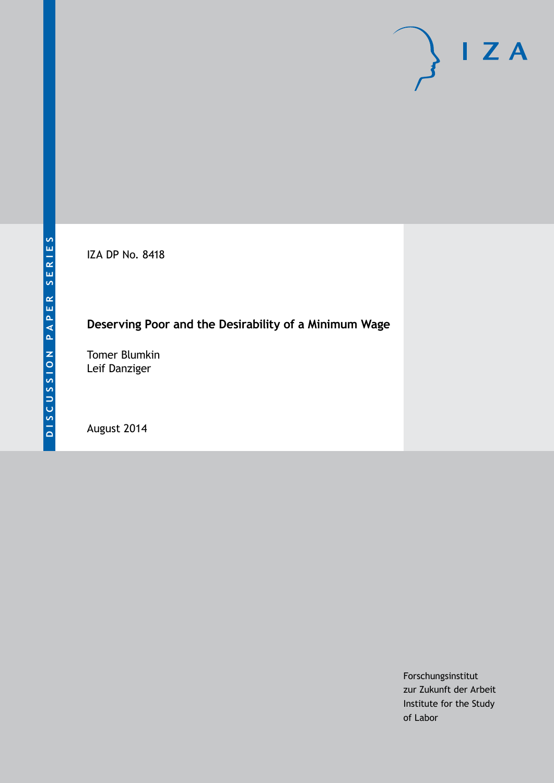IZA DP No. 8418

### **Deserving Poor and the Desirability of a Minimum Wage**

Tomer Blumkin Leif Danziger

August 2014

Forschungsinstitut zur Zukunft der Arbeit Institute for the Study of Labor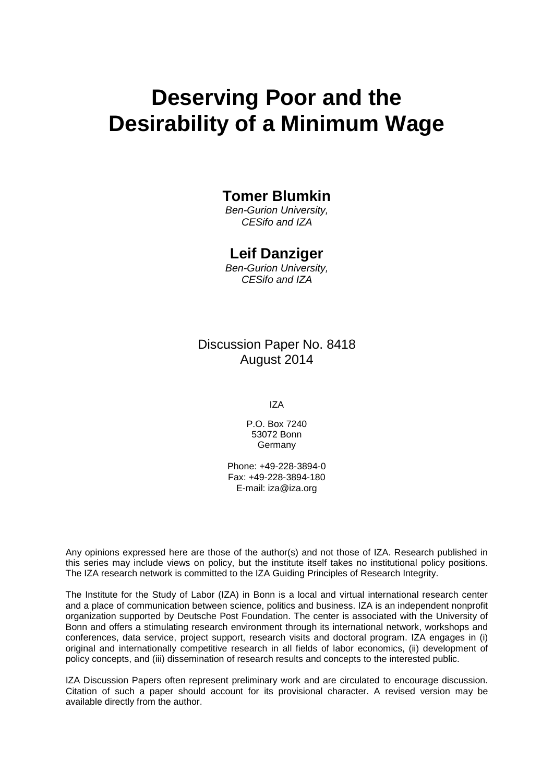# **Deserving Poor and the Desirability of a Minimum Wage**

### **Tomer Blumkin**

*Ben-Gurion University, CESifo and IZA*

### **Leif Danziger**

*Ben-Gurion University, CESifo and IZA*

Discussion Paper No. 8418 August 2014

IZA

P.O. Box 7240 53072 Bonn **Germany** 

Phone: +49-228-3894-0 Fax: +49-228-3894-180 E-mail: [iza@iza.org](mailto:iza@iza.org)

Any opinions expressed here are those of the author(s) and not those of IZA. Research published in this series may include views on policy, but the institute itself takes no institutional policy positions. The IZA research network is committed to the IZA Guiding Principles of Research Integrity.

The Institute for the Study of Labor (IZA) in Bonn is a local and virtual international research center and a place of communication between science, politics and business. IZA is an independent nonprofit organization supported by Deutsche Post Foundation. The center is associated with the University of Bonn and offers a stimulating research environment through its international network, workshops and conferences, data service, project support, research visits and doctoral program. IZA engages in (i) original and internationally competitive research in all fields of labor economics, (ii) development of policy concepts, and (iii) dissemination of research results and concepts to the interested public.

<span id="page-1-0"></span>IZA Discussion Papers often represent preliminary work and are circulated to encourage discussion. Citation of such a paper should account for its provisional character. A revised version may be available directly from the author.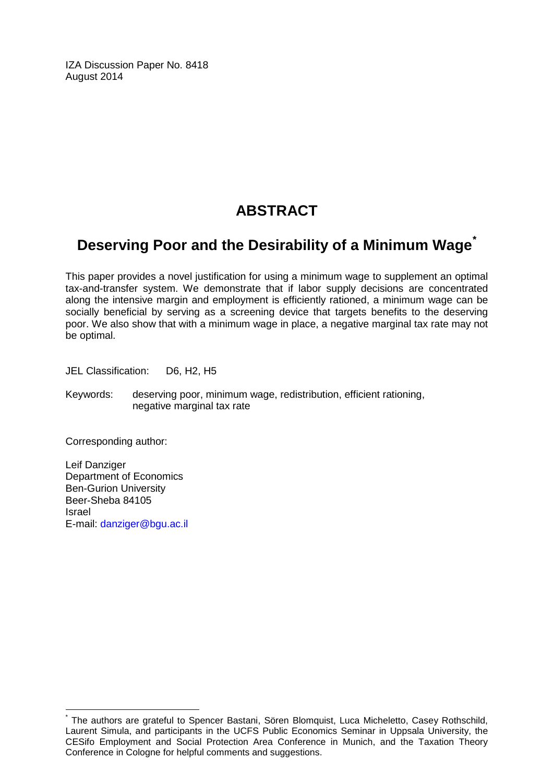IZA Discussion Paper No. 8418 August 2014

# **ABSTRACT**

# **Deserving Poor and the Desirability of a Minimum Wage[\\*](#page-1-0)**

This paper provides a novel justification for using a minimum wage to supplement an optimal tax-and-transfer system. We demonstrate that if labor supply decisions are concentrated along the intensive margin and employment is efficiently rationed, a minimum wage can be socially beneficial by serving as a screening device that targets benefits to the deserving poor. We also show that with a minimum wage in place, a negative marginal tax rate may not be optimal.

JEL Classification: D6, H2, H5

Keywords: deserving poor, minimum wage, redistribution, efficient rationing, negative marginal tax rate

Corresponding author:

Leif Danziger Department of Economics Ben-Gurion University Beer-Sheba 84105 Israel E-mail: [danziger@bgu.ac.il](mailto:danziger@bgu.ac.il)

The authors are grateful to Spencer Bastani, Sören Blomquist, Luca Micheletto, Casey Rothschild, Laurent Simula, and participants in the UCFS Public Economics Seminar in Uppsala University, the CESifo Employment and Social Protection Area Conference in Munich, and the Taxation Theory Conference in Cologne for helpful comments and suggestions.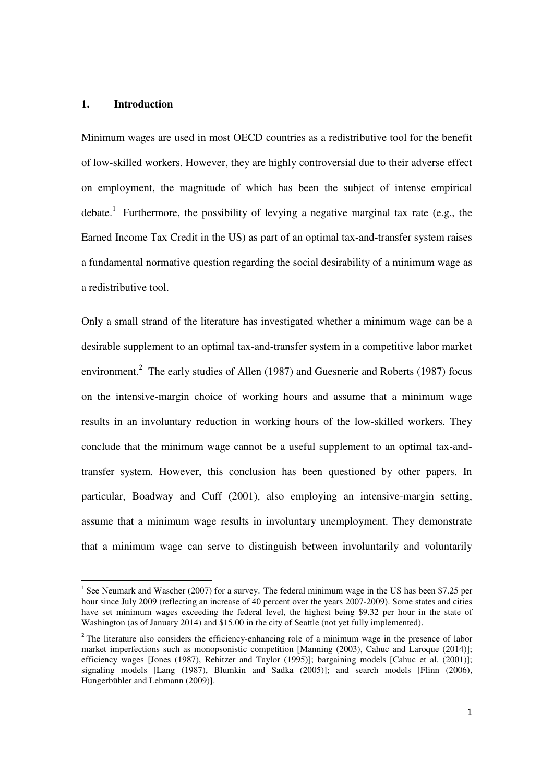#### **1. Introduction**

l,

Minimum wages are used in most OECD countries as a redistributive tool for the benefit of low-skilled workers. However, they are highly controversial due to their adverse effect on employment, the magnitude of which has been the subject of intense empirical debate.<sup>1</sup> Furthermore, the possibility of levying a negative marginal tax rate (e.g., the Earned Income Tax Credit in the US) as part of an optimal tax-and-transfer system raises a fundamental normative question regarding the social desirability of a minimum wage as a redistributive tool.

Only a small strand of the literature has investigated whether a minimum wage can be a desirable supplement to an optimal tax-and-transfer system in a competitive labor market environment.<sup>2</sup> The early studies of Allen (1987) and Guesnerie and Roberts (1987) focus on the intensive-margin choice of working hours and assume that a minimum wage results in an involuntary reduction in working hours of the low-skilled workers. They conclude that the minimum wage cannot be a useful supplement to an optimal tax-andtransfer system. However, this conclusion has been questioned by other papers. In particular, Boadway and Cuff (2001), also employing an intensive-margin setting, assume that a minimum wage results in involuntary unemployment. They demonstrate that a minimum wage can serve to distinguish between involuntarily and voluntarily

<sup>&</sup>lt;sup>1</sup> See Neumark and Wascher (2007) for a survey. The federal minimum wage in the US has been \$7.25 per hour since July 2009 (reflecting an increase of 40 percent over the years 2007-2009). Some states and cities have set minimum wages exceeding the federal level, the highest being \$9.32 per hour in the state of Washington (as of January 2014) and \$15.00 in the city of Seattle (not yet fully implemented).

<sup>&</sup>lt;sup>2</sup> The literature also considers the efficiency-enhancing role of a minimum wage in the presence of labor market imperfections such as monopsonistic competition [Manning (2003), Cahuc and Laroque (2014)]; efficiency wages [Jones (1987), Rebitzer and Taylor (1995)]; bargaining models [Cahuc et al. (2001)]; signaling models [Lang (1987), Blumkin and Sadka (2005)]; and search models [Flinn (2006), Hungerbühler and Lehmann (2009)].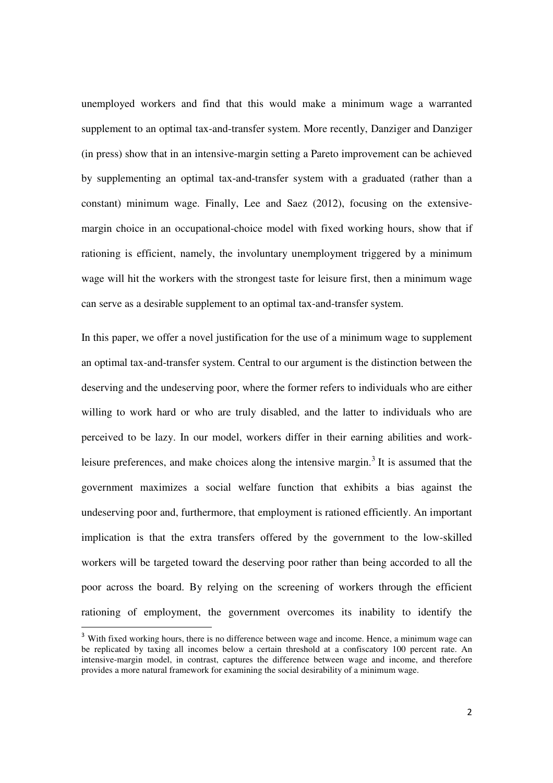unemployed workers and find that this would make a minimum wage a warranted supplement to an optimal tax-and-transfer system. More recently, Danziger and Danziger (in press) show that in an intensive-margin setting a Pareto improvement can be achieved by supplementing an optimal tax-and-transfer system with a graduated (rather than a constant) minimum wage. Finally, Lee and Saez (2012), focusing on the extensivemargin choice in an occupational-choice model with fixed working hours, show that if rationing is efficient, namely, the involuntary unemployment triggered by a minimum wage will hit the workers with the strongest taste for leisure first, then a minimum wage can serve as a desirable supplement to an optimal tax-and-transfer system.

In this paper, we offer a novel justification for the use of a minimum wage to supplement an optimal tax-and-transfer system. Central to our argument is the distinction between the deserving and the undeserving poor, where the former refers to individuals who are either willing to work hard or who are truly disabled, and the latter to individuals who are perceived to be lazy. In our model, workers differ in their earning abilities and workleisure preferences, and make choices along the intensive margin.<sup>3</sup> It is assumed that the government maximizes a social welfare function that exhibits a bias against the undeserving poor and, furthermore, that employment is rationed efficiently. An important implication is that the extra transfers offered by the government to the low-skilled workers will be targeted toward the deserving poor rather than being accorded to all the poor across the board. By relying on the screening of workers through the efficient rationing of employment, the government overcomes its inability to identify the

l,

<sup>&</sup>lt;sup>3</sup> With fixed working hours, there is no difference between wage and income. Hence, a minimum wage can be replicated by taxing all incomes below a certain threshold at a confiscatory 100 percent rate. An intensive-margin model, in contrast, captures the difference between wage and income, and therefore provides a more natural framework for examining the social desirability of a minimum wage.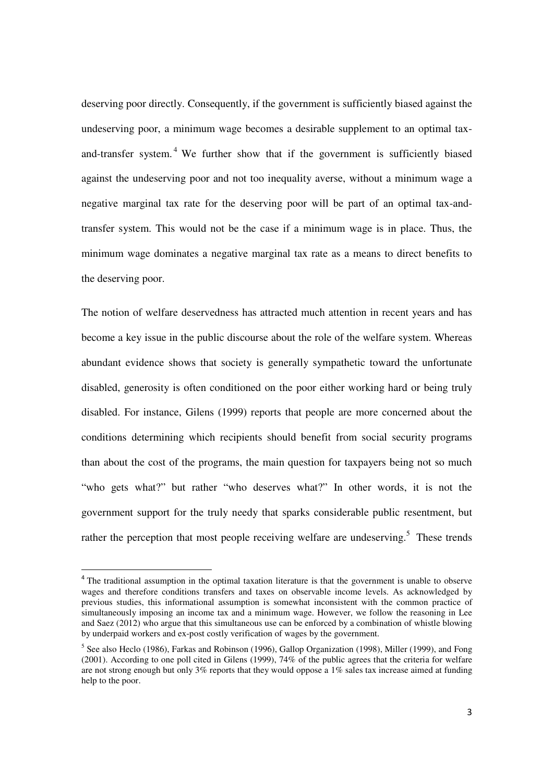deserving poor directly. Consequently, if the government is sufficiently biased against the undeserving poor, a minimum wage becomes a desirable supplement to an optimal taxand-transfer system.<sup>4</sup> We further show that if the government is sufficiently biased against the undeserving poor and not too inequality averse, without a minimum wage a negative marginal tax rate for the deserving poor will be part of an optimal tax-andtransfer system. This would not be the case if a minimum wage is in place. Thus, the minimum wage dominates a negative marginal tax rate as a means to direct benefits to the deserving poor.

The notion of welfare deservedness has attracted much attention in recent years and has become a key issue in the public discourse about the role of the welfare system. Whereas abundant evidence shows that society is generally sympathetic toward the unfortunate disabled, generosity is often conditioned on the poor either working hard or being truly disabled. For instance, Gilens (1999) reports that people are more concerned about the conditions determining which recipients should benefit from social security programs than about the cost of the programs, the main question for taxpayers being not so much "who gets what?" but rather "who deserves what?" In other words, it is not the government support for the truly needy that sparks considerable public resentment, but rather the perception that most people receiving welfare are undeserving.<sup>5</sup> These trends

l,

<sup>&</sup>lt;sup>4</sup> The traditional assumption in the optimal taxation literature is that the government is unable to observe wages and therefore conditions transfers and taxes on observable income levels. As acknowledged by previous studies, this informational assumption is somewhat inconsistent with the common practice of simultaneously imposing an income tax and a minimum wage. However, we follow the reasoning in Lee and Saez (2012) who argue that this simultaneous use can be enforced by a combination of whistle blowing by underpaid workers and ex-post costly verification of wages by the government.

<sup>&</sup>lt;sup>5</sup> See also Heclo (1986), Farkas and Robinson (1996), Gallop Organization (1998), Miller (1999), and Fong (2001). According to one poll cited in Gilens (1999), 74% of the public agrees that the criteria for welfare are not strong enough but only 3% reports that they would oppose a 1% sales tax increase aimed at funding help to the poor.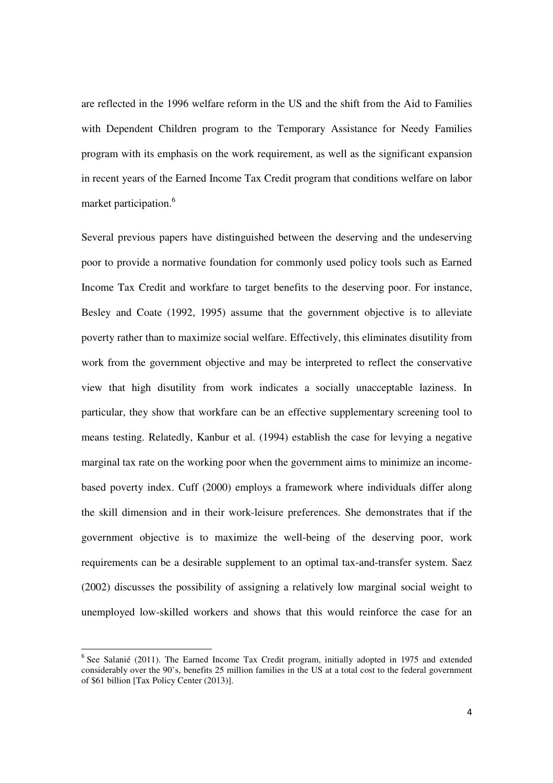are reflected in the 1996 welfare reform in the US and the shift from the Aid to Families with Dependent Children program to the Temporary Assistance for Needy Families program with its emphasis on the work requirement, as well as the significant expansion in recent years of the Earned Income Tax Credit program that conditions welfare on labor market participation.<sup>6</sup>

Several previous papers have distinguished between the deserving and the undeserving poor to provide a normative foundation for commonly used policy tools such as Earned Income Tax Credit and workfare to target benefits to the deserving poor. For instance, Besley and Coate (1992, 1995) assume that the government objective is to alleviate poverty rather than to maximize social welfare. Effectively, this eliminates disutility from work from the government objective and may be interpreted to reflect the conservative view that high disutility from work indicates a socially unacceptable laziness. In particular, they show that workfare can be an effective supplementary screening tool to means testing. Relatedly, Kanbur et al. (1994) establish the case for levying a negative marginal tax rate on the working poor when the government aims to minimize an incomebased poverty index. Cuff (2000) employs a framework where individuals differ along the skill dimension and in their work-leisure preferences. She demonstrates that if the government objective is to maximize the well-being of the deserving poor, work requirements can be a desirable supplement to an optimal tax-and-transfer system. Saez (2002) discusses the possibility of assigning a relatively low marginal social weight to unemployed low-skilled workers and shows that this would reinforce the case for an

 $\overline{a}$ 

<sup>&</sup>lt;sup>6</sup> See Salanié (2011). The Earned Income Tax Credit program, initially adopted in 1975 and extended considerably over the 90's, benefits 25 million families in the US at a total cost to the federal government of \$61 billion [Tax Policy Center (2013)].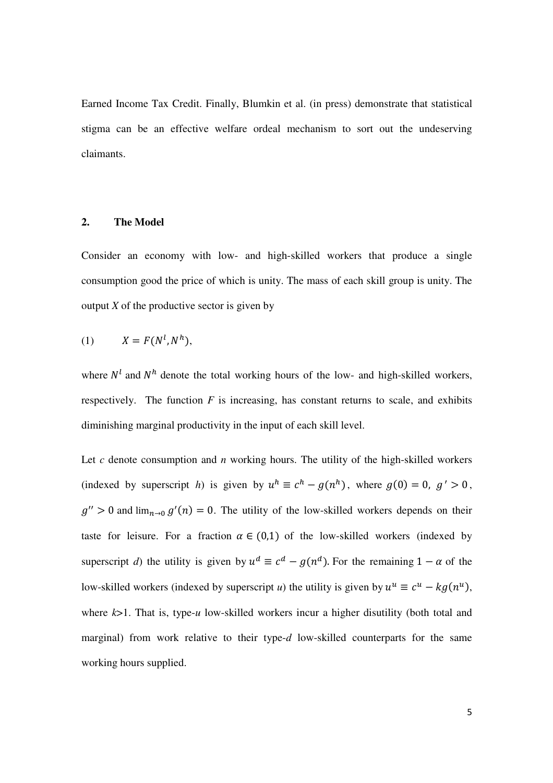Earned Income Tax Credit. Finally, Blumkin et al. (in press) demonstrate that statistical stigma can be an effective welfare ordeal mechanism to sort out the undeserving claimants.

#### **2. The Model**

Consider an economy with low- and high-skilled workers that produce a single consumption good the price of which is unity. The mass of each skill group is unity. The output  $X$  of the productive sector is given by

$$
(1) \tX = F(N^l, N^h),
$$

where  $N<sup>l</sup>$  and  $N<sup>h</sup>$  denote the total working hours of the low- and high-skilled workers, respectively. The function  $F$  is increasing, has constant returns to scale, and exhibits diminishing marginal productivity in the input of each skill level.

Let *c* denote consumption and *n* working hours. The utility of the high-skilled workers (indexed by superscript *h*) is given by  $u^h \equiv c^h - g(n^h)$ , where  $g(0) = 0$ ,  $g' > 0$ ,  $g'' > 0$  and  $\lim_{n \to 0} g'(n) = 0$ . The utility of the low-skilled workers depends on their taste for leisure. For a fraction  $\alpha \in (0,1)$  of the low-skilled workers (indexed by superscript *d*) the utility is given by  $u^d \equiv c^d - g(n^d)$ . For the remaining  $1 - \alpha$  of the low-skilled workers (indexed by superscript *u*) the utility is given by  $u^u \equiv c^u - k g(n^u)$ , where  $k>1$ . That is, type-*u* low-skilled workers incur a higher disutility (both total and marginal) from work relative to their type-*d* low-skilled counterparts for the same working hours supplied.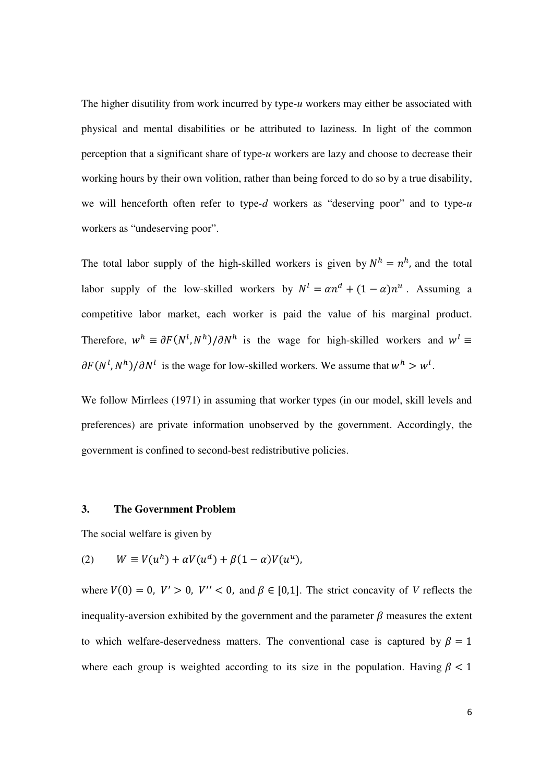The higher disutility from work incurred by type*-u* workers may either be associated with physical and mental disabilities or be attributed to laziness. In light of the common perception that a significant share of type-*u* workers are lazy and choose to decrease their working hours by their own volition, rather than being forced to do so by a true disability, we will henceforth often refer to type*-d* workers as "deserving poor" and to type-*u* workers as "undeserving poor".

The total labor supply of the high-skilled workers is given by  $N^h = n^h$ , and the total labor supply of the low-skilled workers by  $N^l = \alpha n^d + (1 - \alpha)n^u$ . Assuming a competitive labor market, each worker is paid the value of his marginal product. Therefore,  $w^h \equiv \partial F(N^l, N^h) / \partial N^h$  is the wage for high-skilled workers and  $w^l \equiv$  $\partial F(N^l, N^h) / \partial N^l$  is the wage for low-skilled workers. We assume that  $w^h > w^l$ .

We follow Mirrlees (1971) in assuming that worker types (in our model, skill levels and preferences) are private information unobserved by the government. Accordingly, the government is confined to second-best redistributive policies.

#### **3. The Government Problem**

The social welfare is given by

$$
(2) \qquad W \equiv V(u^h) + \alpha V(u^d) + \beta (1 - \alpha) V(u^u),
$$

where  $V(0) = 0$ ,  $V' > 0$ ,  $V'' < 0$ , and  $\beta \in [0,1]$ . The strict concavity of *V* reflects the inequality-aversion exhibited by the government and the parameter  $\beta$  measures the extent to which welfare-deservedness matters. The conventional case is captured by  $\beta = 1$ where each group is weighted according to its size in the population. Having  $\beta < 1$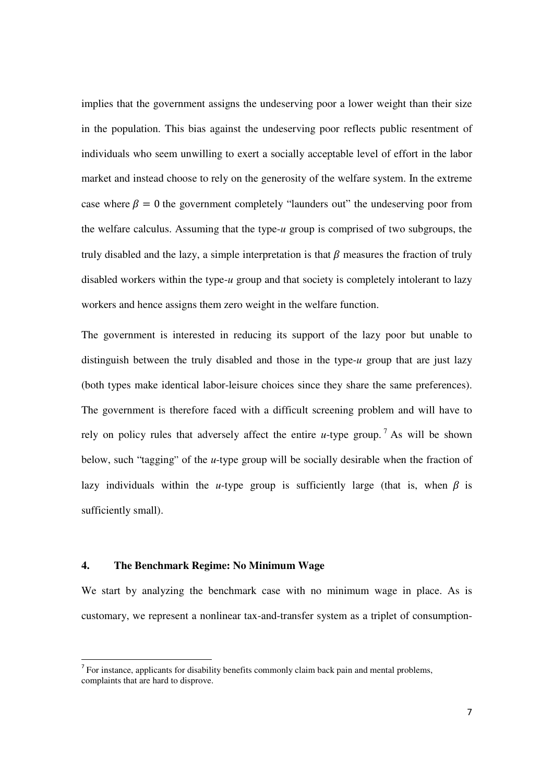implies that the government assigns the undeserving poor a lower weight than their size in the population. This bias against the undeserving poor reflects public resentment of individuals who seem unwilling to exert a socially acceptable level of effort in the labor market and instead choose to rely on the generosity of the welfare system. In the extreme case where  $\beta = 0$  the government completely "launders out" the undeserving poor from the welfare calculus. Assuming that the type-*u* group is comprised of two subgroups, the truly disabled and the lazy, a simple interpretation is that  $\beta$  measures the fraction of truly disabled workers within the type-*u* group and that society is completely intolerant to lazy workers and hence assigns them zero weight in the welfare function.

The government is interested in reducing its support of the lazy poor but unable to distinguish between the truly disabled and those in the type-*u* group that are just lazy (both types make identical labor-leisure choices since they share the same preferences). The government is therefore faced with a difficult screening problem and will have to rely on policy rules that adversely affect the entire *u*-type group.<sup>7</sup> As will be shown below, such "tagging" of the *u*-type group will be socially desirable when the fraction of lazy individuals within the *u*-type group is sufficiently large (that is, when  $\beta$  is sufficiently small).

#### **4. The Benchmark Regime: No Minimum Wage**

 $\overline{a}$ 

We start by analyzing the benchmark case with no minimum wage in place. As is customary, we represent a nonlinear tax-and-transfer system as a triplet of consumption-

 $7$  For instance, applicants for disability benefits commonly claim back pain and mental problems, complaints that are hard to disprove.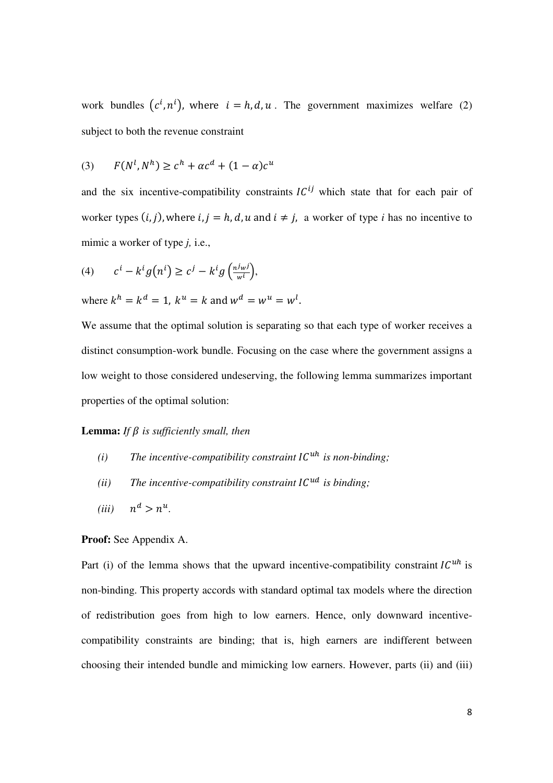work bundles  $(c^i, n^i)$ , where  $i = h, d, u$ . The government maximizes welfare (2) subject to both the revenue constraint

$$
(3) \qquad F(N^l, N^h) \ge c^h + \alpha c^d + (1 - \alpha)c^u
$$

and the six incentive-compatibility constraints  $IC^{ij}$  which state that for each pair of worker types  $(i, j)$ , where  $i, j = h, d, u$  and  $i \neq j$ , a worker of type *i* has no incentive to mimic a worker of type *j,* i.e.,

(4) 
$$
c^{i} - k^{i} g(n^{i}) \geq c^{j} - k^{i} g\left(\frac{n^{j} w^{j}}{w^{i}}\right),
$$

where  $k^h = k^d = 1$ ,  $k^u = k$  and  $w^d = w^u = w^l$ .

We assume that the optimal solution is separating so that each type of worker receives a distinct consumption-work bundle. Focusing on the case where the government assigns a low weight to those considered undeserving, the following lemma summarizes important properties of the optimal solution:

#### **Lemma:** *If*  $\beta$  *is sufficiently small, then*

- *(i) The incentive-compatibility constraint*  $IC^{uh}$  *is non-binding;*
- *(ii)* The incentive-compatibility constraint  $IC^{ud}$  is binding;
- *(iii)*  $^d > n^u$ .

#### **Proof:** See Appendix A.

Part (i) of the lemma shows that the upward incentive-compatibility constraint  $IC^{uh}$  is non-binding. This property accords with standard optimal tax models where the direction of redistribution goes from high to low earners. Hence, only downward incentivecompatibility constraints are binding; that is, high earners are indifferent between choosing their intended bundle and mimicking low earners. However, parts (ii) and (iii)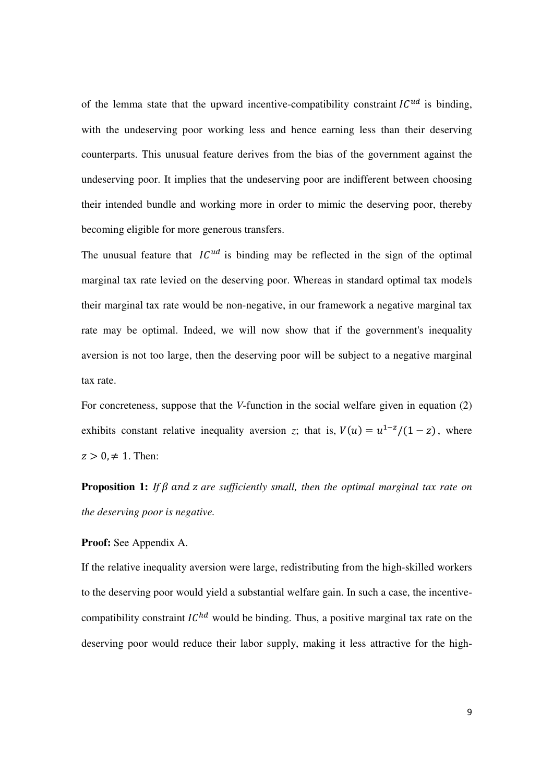of the lemma state that the upward incentive-compatibility constraint  $IC^{ud}$  is binding, with the undeserving poor working less and hence earning less than their deserving counterparts. This unusual feature derives from the bias of the government against the undeserving poor. It implies that the undeserving poor are indifferent between choosing their intended bundle and working more in order to mimic the deserving poor, thereby becoming eligible for more generous transfers.

The unusual feature that  $IC^{ud}$  is binding may be reflected in the sign of the optimal marginal tax rate levied on the deserving poor. Whereas in standard optimal tax models their marginal tax rate would be non-negative, in our framework a negative marginal tax rate may be optimal. Indeed, we will now show that if the government's inequality aversion is not too large, then the deserving poor will be subject to a negative marginal tax rate.

For concreteness, suppose that the *V*-function in the social welfare given in equation (2) exhibits constant relative inequality aversion *z*; that is,  $V(u) = u^{1-z}/(1-z)$ , where  $z > 0, \neq 1$ . Then:

**Proposition 1:** If  $\beta$  and  $\alpha$  are sufficiently small, then the optimal marginal tax rate on *the deserving poor is negative.* 

**Proof:** See Appendix A.

If the relative inequality aversion were large, redistributing from the high-skilled workers to the deserving poor would yield a substantial welfare gain. In such a case, the incentivecompatibility constraint  $IC^{hd}$  would be binding. Thus, a positive marginal tax rate on the deserving poor would reduce their labor supply, making it less attractive for the high-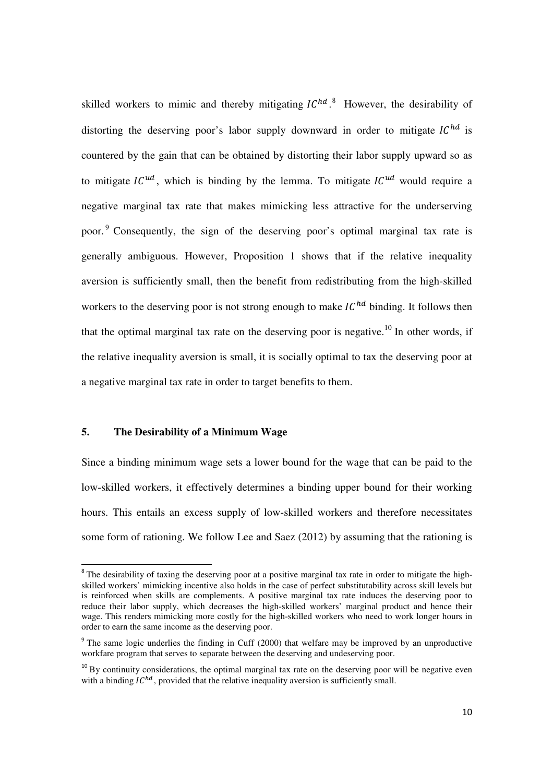skilled workers to mimic and thereby mitigating  $IC^{hd}$ .<sup>8</sup> However, the desirability of distorting the deserving poor's labor supply downward in order to mitigate  $IC^{hd}$  is countered by the gain that can be obtained by distorting their labor supply upward so as to mitigate  $IC^{ud}$ , which is binding by the lemma. To mitigate  $IC^{ud}$  would require a negative marginal tax rate that makes mimicking less attractive for the underserving poor.<sup>9</sup> Consequently, the sign of the deserving poor's optimal marginal tax rate is generally ambiguous. However, Proposition 1 shows that if the relative inequality aversion is sufficiently small, then the benefit from redistributing from the high-skilled workers to the deserving poor is not strong enough to make  $IC^{hd}$  binding. It follows then that the optimal marginal tax rate on the deserving poor is negative.<sup>10</sup> In other words, if the relative inequality aversion is small, it is socially optimal to tax the deserving poor at a negative marginal tax rate in order to target benefits to them.

#### **5. The Desirability of a Minimum Wage**

 $\overline{a}$ 

Since a binding minimum wage sets a lower bound for the wage that can be paid to the low-skilled workers, it effectively determines a binding upper bound for their working hours. This entails an excess supply of low-skilled workers and therefore necessitates some form of rationing. We follow Lee and Saez (2012) by assuming that the rationing is

<sup>&</sup>lt;sup>8</sup> The desirability of taxing the deserving poor at a positive marginal tax rate in order to mitigate the highskilled workers' mimicking incentive also holds in the case of perfect substitutability across skill levels but is reinforced when skills are complements. A positive marginal tax rate induces the deserving poor to reduce their labor supply, which decreases the high-skilled workers' marginal product and hence their wage. This renders mimicking more costly for the high-skilled workers who need to work longer hours in order to earn the same income as the deserving poor.

<sup>&</sup>lt;sup>9</sup> The same logic underlies the finding in Cuff (2000) that welfare may be improved by an unproductive workfare program that serves to separate between the deserving and undeserving poor.

 $10$  By continuity considerations, the optimal marginal tax rate on the deserving poor will be negative even with a binding  $IC^{hd}$ , provided that the relative inequality aversion is sufficiently small.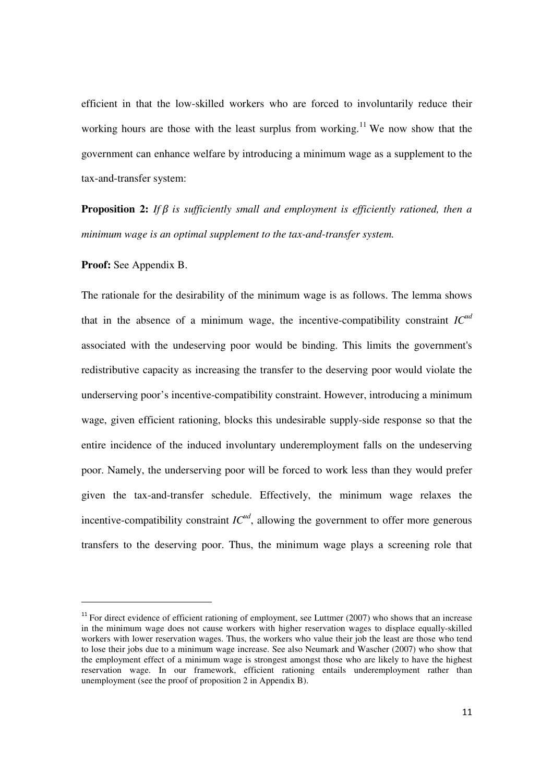efficient in that the low-skilled workers who are forced to involuntarily reduce their working hours are those with the least surplus from working.<sup>11</sup> We now show that the government can enhance welfare by introducing a minimum wage as a supplement to the tax-and-transfer system:

**Proposition 2:** If B is sufficiently small and employment is efficiently rationed, then a *minimum wage is an optimal supplement to the tax-and-transfer system.* 

**Proof:** See Appendix B.

l,

The rationale for the desirability of the minimum wage is as follows. The lemma shows that in the absence of a minimum wage, the incentive-compatibility constraint *ICud* associated with the undeserving poor would be binding. This limits the government's redistributive capacity as increasing the transfer to the deserving poor would violate the underserving poor's incentive-compatibility constraint. However, introducing a minimum wage, given efficient rationing, blocks this undesirable supply-side response so that the entire incidence of the induced involuntary underemployment falls on the undeserving poor. Namely, the underserving poor will be forced to work less than they would prefer given the tax-and-transfer schedule. Effectively, the minimum wage relaxes the incentive-compatibility constraint  $IC^{ud}$ , allowing the government to offer more generous transfers to the deserving poor. Thus, the minimum wage plays a screening role that

 $11$  For direct evidence of efficient rationing of employment, see Luttmer (2007) who shows that an increase in the minimum wage does not cause workers with higher reservation wages to displace equally-skilled workers with lower reservation wages. Thus, the workers who value their job the least are those who tend to lose their jobs due to a minimum wage increase. See also Neumark and Wascher (2007) who show that the employment effect of a minimum wage is strongest amongst those who are likely to have the highest reservation wage. In our framework, efficient rationing entails underemployment rather than unemployment (see the proof of proposition 2 in Appendix B).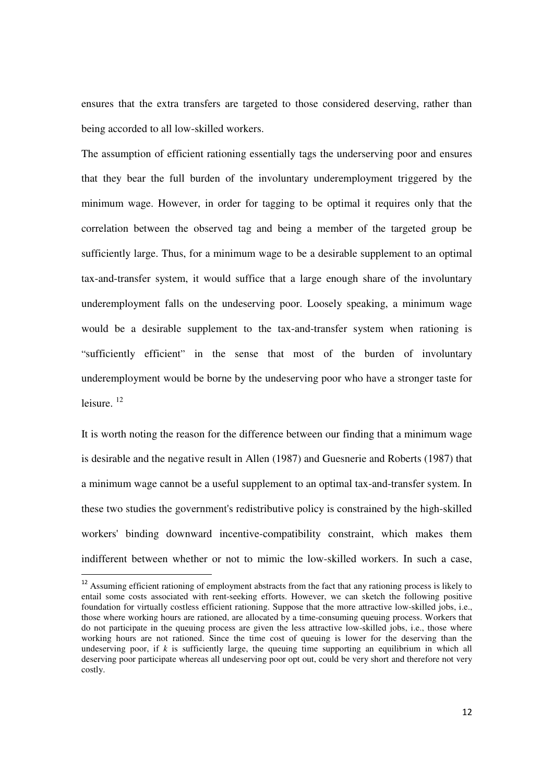ensures that the extra transfers are targeted to those considered deserving, rather than being accorded to all low-skilled workers.

The assumption of efficient rationing essentially tags the underserving poor and ensures that they bear the full burden of the involuntary underemployment triggered by the minimum wage. However, in order for tagging to be optimal it requires only that the correlation between the observed tag and being a member of the targeted group be sufficiently large. Thus, for a minimum wage to be a desirable supplement to an optimal tax-and-transfer system, it would suffice that a large enough share of the involuntary underemployment falls on the undeserving poor. Loosely speaking, a minimum wage would be a desirable supplement to the tax-and-transfer system when rationing is "sufficiently efficient" in the sense that most of the burden of involuntary underemployment would be borne by the undeserving poor who have a stronger taste for leisure.  $^{12}$ 

It is worth noting the reason for the difference between our finding that a minimum wage is desirable and the negative result in Allen (1987) and Guesnerie and Roberts (1987) that a minimum wage cannot be a useful supplement to an optimal tax-and-transfer system. In these two studies the government's redistributive policy is constrained by the high-skilled workers' binding downward incentive-compatibility constraint, which makes them indifferent between whether or not to mimic the low-skilled workers. In such a case,

l,

<sup>&</sup>lt;sup>12</sup> Assuming efficient rationing of employment abstracts from the fact that any rationing process is likely to entail some costs associated with rent-seeking efforts. However, we can sketch the following positive foundation for virtually costless efficient rationing. Suppose that the more attractive low-skilled jobs, i.e., those where working hours are rationed, are allocated by a time-consuming queuing process. Workers that do not participate in the queuing process are given the less attractive low-skilled jobs, i.e., those where working hours are not rationed. Since the time cost of queuing is lower for the deserving than the undeserving poor, if *k* is sufficiently large, the queuing time supporting an equilibrium in which all deserving poor participate whereas all undeserving poor opt out, could be very short and therefore not very costly.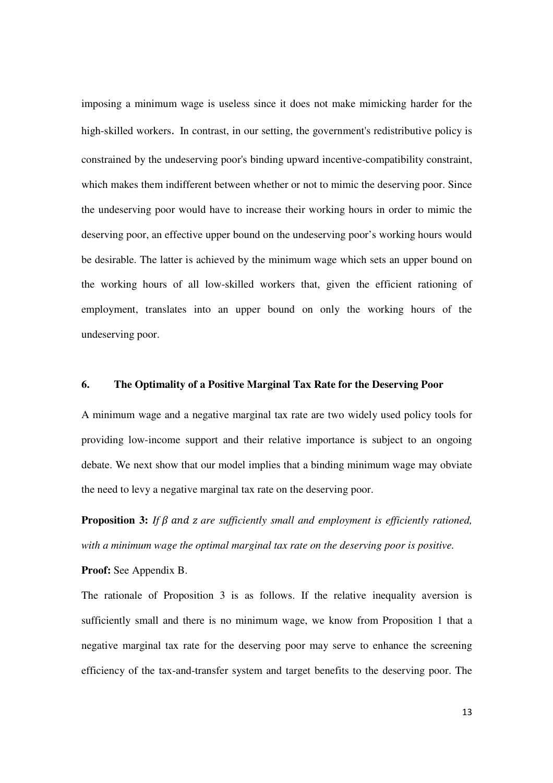imposing a minimum wage is useless since it does not make mimicking harder for the high-skilled workers. In contrast, in our setting, the government's redistributive policy is constrained by the undeserving poor's binding upward incentive-compatibility constraint, which makes them indifferent between whether or not to mimic the deserving poor. Since the undeserving poor would have to increase their working hours in order to mimic the deserving poor, an effective upper bound on the undeserving poor's working hours would be desirable. The latter is achieved by the minimum wage which sets an upper bound on the working hours of all low-skilled workers that, given the efficient rationing of employment, translates into an upper bound on only the working hours of the undeserving poor.

#### **6. The Optimality of a Positive Marginal Tax Rate for the Deserving Poor**

A minimum wage and a negative marginal tax rate are two widely used policy tools for providing low-income support and their relative importance is subject to an ongoing debate. We next show that our model implies that a binding minimum wage may obviate the need to levy a negative marginal tax rate on the deserving poor.

**Proposition 3:** If  $\beta$  and  $\alpha$  are sufficiently small and employment is efficiently rationed, *with a minimum wage the optimal marginal tax rate on the deserving poor is positive.* 

**Proof:** See Appendix B.

The rationale of Proposition 3 is as follows. If the relative inequality aversion is sufficiently small and there is no minimum wage, we know from Proposition 1 that a negative marginal tax rate for the deserving poor may serve to enhance the screening efficiency of the tax-and-transfer system and target benefits to the deserving poor. The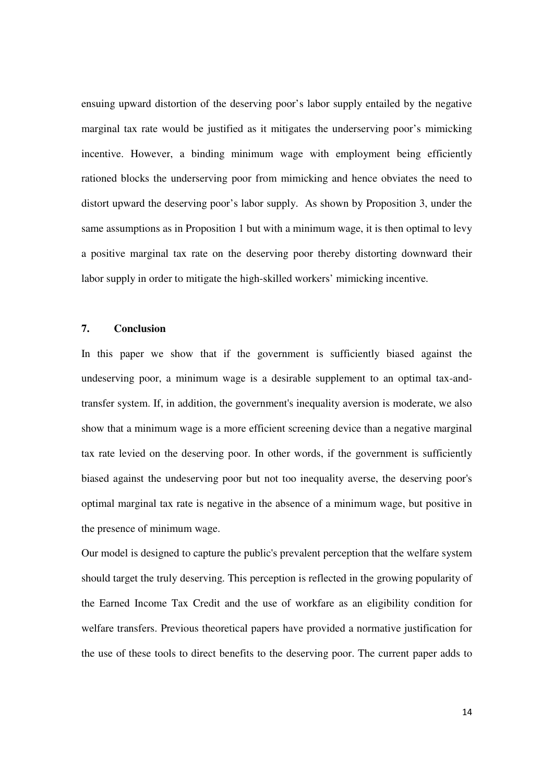ensuing upward distortion of the deserving poor's labor supply entailed by the negative marginal tax rate would be justified as it mitigates the underserving poor's mimicking incentive. However, a binding minimum wage with employment being efficiently rationed blocks the underserving poor from mimicking and hence obviates the need to distort upward the deserving poor's labor supply. As shown by Proposition 3, under the same assumptions as in Proposition 1 but with a minimum wage, it is then optimal to levy a positive marginal tax rate on the deserving poor thereby distorting downward their labor supply in order to mitigate the high-skilled workers' mimicking incentive.

#### **7. Conclusion**

In this paper we show that if the government is sufficiently biased against the undeserving poor, a minimum wage is a desirable supplement to an optimal tax-andtransfer system. If, in addition, the government's inequality aversion is moderate, we also show that a minimum wage is a more efficient screening device than a negative marginal tax rate levied on the deserving poor. In other words, if the government is sufficiently biased against the undeserving poor but not too inequality averse, the deserving poor's optimal marginal tax rate is negative in the absence of a minimum wage, but positive in the presence of minimum wage.

Our model is designed to capture the public's prevalent perception that the welfare system should target the truly deserving. This perception is reflected in the growing popularity of the Earned Income Tax Credit and the use of workfare as an eligibility condition for welfare transfers. Previous theoretical papers have provided a normative justification for the use of these tools to direct benefits to the deserving poor. The current paper adds to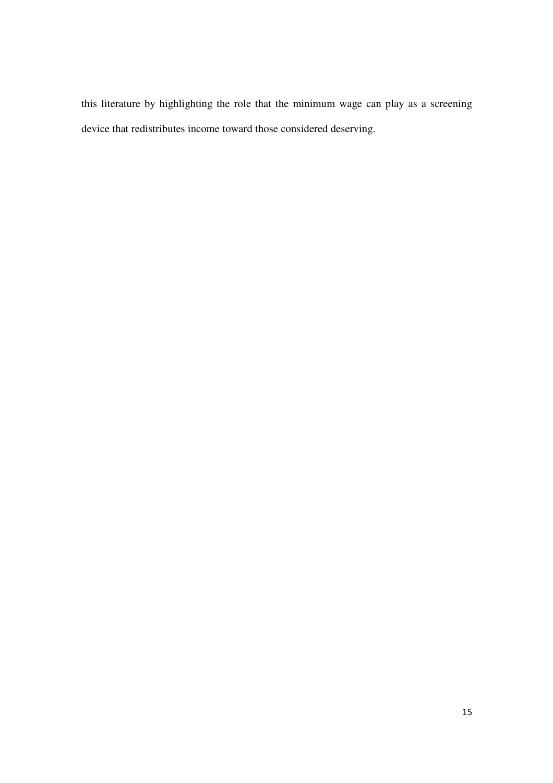this literature by highlighting the role that the minimum wage can play as a screening device that redistributes income toward those considered deserving.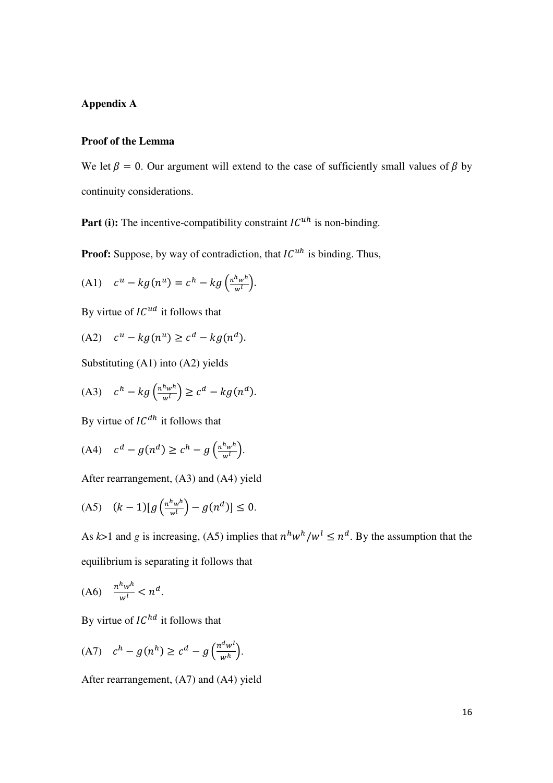#### **Appendix A**

#### **Proof of the Lemma**

We let  $\beta = 0$ . Our argument will extend to the case of sufficiently small values of  $\beta$  by continuity considerations.

**Part (i):** The incentive-compatibility constraint  $IC^{uh}$  is non-binding.

**Proof:** Suppose, by way of contradiction, that  $IC^{uh}$  is binding. Thus,

(A1) 
$$
c^u - k g(n^u) = c^h - k g\left(\frac{n^h w^h}{w^l}\right).
$$

By virtue of  $IC^{ud}$  it follows that

$$
(A2) \quad c^u - k g(n^u) \ge c^d - k g(n^d).
$$

Substituting (A1) into (A2) yields

(A3) 
$$
c^h - kg\left(\frac{n^h w^h}{w^l}\right) \ge c^d - kg(n^d).
$$

By virtue of  $IC^{dh}$  it follows that

$$
(A4) \quad c^d - g(n^d) \ge c^h - g\left(\frac{n^h w^h}{w^l}\right).
$$

After rearrangement, (A3) and (A4) yield

(A5) 
$$
(k-1)[g\left(\frac{n^h w^h}{w^l}\right) - g(n^d)] \le 0.
$$

As  $k>1$  and g is increasing, (A5) implies that  $n^h w^h/w^l \leq n^d$ . By the assumption that the equilibrium is separating it follows that

$$
(A6) \quad \frac{n^h w^h}{w^l} < n^d.
$$

By virtue of  $IC^{hd}$  it follows that

$$
(A7) \quad c^h - g(n^h) \ge c^d - g\left(\frac{n^d w^l}{w^h}\right).
$$

After rearrangement, (A7) and (A4) yield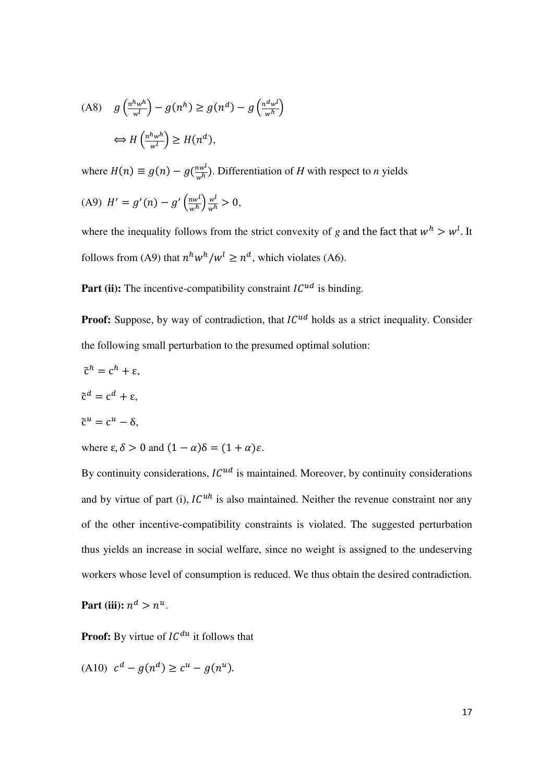$$
(A8) \quad g\left(\frac{n^h w^h}{w^l}\right) - g(n^h) \ge g(n^d) - g\left(\frac{n^d w^l}{w^h}\right)
$$
\n
$$
\iff H\left(\frac{n^h w^h}{w^l}\right) \ge H(n^d),
$$

where  $H(n) \equiv g(n) - g(\frac{nw^l}{w^h})$ . Differentiation of *H* with respect to *n* yields

(A9) 
$$
H' = g'(n) - g'\left(\frac{nw^l}{w^h}\right)\frac{w^l}{w^h} > 0,
$$

where the inequality follows from the strict convexity of *g* and the fact that  $w<sup>h</sup> > w<sup>l</sup>$ . It follows from (A9) that  $n^h w^h/w^l \geq n^d$ , which violates (A6).

**Part (ii):** The incentive-compatibility constraint  $IC^{ud}$  is binding.

**Proof:** Suppose, by way of contradiction, that  $IC^{ud}$  holds as a strict inequality. Consider the following small perturbation to the presumed optimal solution:

$$
\tilde{\mathbf{c}}^h = \mathbf{c}^h + \mathbf{\varepsilon},
$$

$$
\tilde{\mathbf{c}}^d = \mathbf{c}^d + \mathbf{\varepsilon},
$$

$$
\tilde{\mathbf{c}}^u = \mathbf{c}^u - \mathbf{\delta},
$$

where  $\varepsilon$ ,  $\delta > 0$  and  $(1 - \alpha)\delta = (1 + \alpha)\varepsilon$ .

By continuity considerations,  $IC^{ud}$  is maintained. Moreover, by continuity considerations and by virtue of part (i),  $IC<sup>uh</sup>$  is also maintained. Neither the revenue constraint nor any of the other incentive-compatibility constraints is violated. The suggested perturbation thus yields an increase in social welfare, since no weight is assigned to the undeserving workers whose level of consumption is reduced. We thus obtain the desired contradiction.

Part (iii):  $n^d > n^u$ .

**Proof:** By virtue of  $IC^{du}$  it follows that

(A10) 
$$
c^d - g(n^d) \ge c^u - g(n^u)
$$
.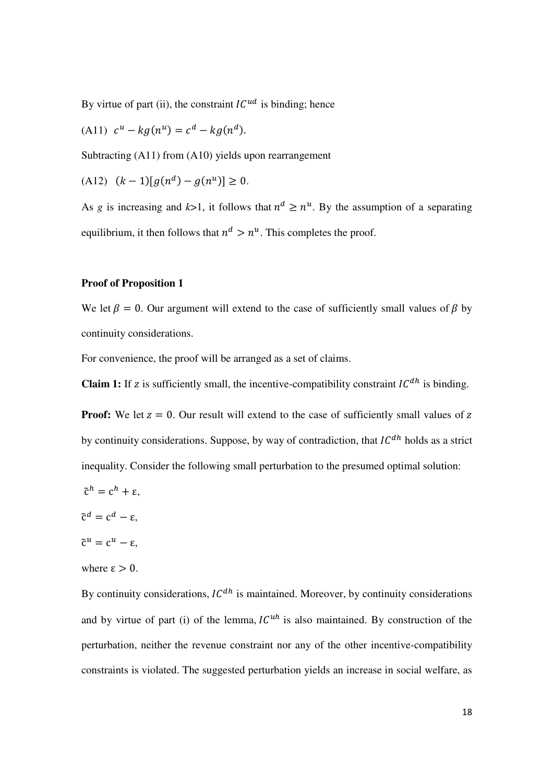By virtue of part (ii), the constraint  $IC^{ud}$  is binding; hence

(A11)  $c^u - k g(n^u) = c^d - k g(n^d)$ .

Subtracting (A11) from (A10) yields upon rearrangement

$$
(A12) \quad (k-1)[g(n^d) - g(n^u)] \ge 0.
$$

As *g* is increasing and  $k>1$ , it follows that  $n^d \geq n^u$ . By the assumption of a separating equilibrium, it then follows that  $n^d > n^u$ . This completes the proof.

#### **Proof of Proposition 1**

We let  $\beta = 0$ . Our argument will extend to the case of sufficiently small values of  $\beta$  by continuity considerations.

For convenience, the proof will be arranged as a set of claims.

**Claim 1:** If z is sufficiently small, the incentive-compatibility constraint  $IC^{dh}$  is binding.

**Proof:** We let  $z = 0$ . Our result will extend to the case of sufficiently small values of  $z$ by continuity considerations. Suppose, by way of contradiction, that  $IC^{dh}$  holds as a strict inequality. Consider the following small perturbation to the presumed optimal solution:

- $\tilde{c}^h = c^h + \varepsilon$ .
- $\tilde{c}^d = c^d \varepsilon$ ,

 $\tilde{c}^u = c^u - \varepsilon$ ,

where  $\epsilon > 0$ .

By continuity considerations,  $IC^{dh}$  is maintained. Moreover, by continuity considerations and by virtue of part (i) of the lemma,  $IC<sup>uh</sup>$  is also maintained. By construction of the perturbation, neither the revenue constraint nor any of the other incentive-compatibility constraints is violated. The suggested perturbation yields an increase in social welfare, as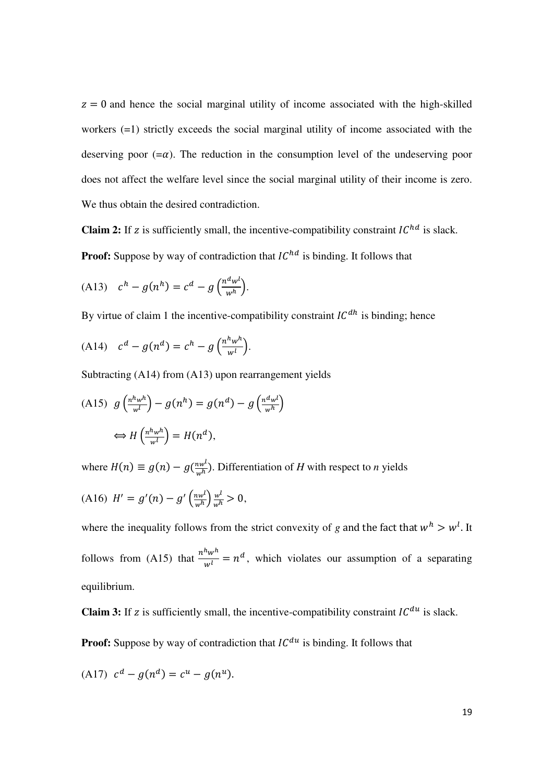$z = 0$  and hence the social marginal utility of income associated with the high-skilled workers (=1) strictly exceeds the social marginal utility of income associated with the deserving poor  $(=\alpha)$ . The reduction in the consumption level of the undeserving poor does not affect the welfare level since the social marginal utility of their income is zero. We thus obtain the desired contradiction.

**Claim 2:** If z is sufficiently small, the incentive-compatibility constraint  $IC^{hd}$  is slack. **Proof:** Suppose by way of contradiction that  $IC^{hd}$  is binding. It follows that

$$
(A13) \quad c^h - g(n^h) = c^d - g\left(\frac{n^d w^l}{w^h}\right).
$$

By virtue of claim 1 the incentive-compatibility constraint  $IC^{dh}$  is binding; hence

$$
(A14) \quad c^d - g(n^d) = c^h - g\left(\frac{n^h w^h}{w^l}\right).
$$

Subtracting (A14) from (A13) upon rearrangement yields

$$
(A15) \quad g\left(\frac{n^h w^h}{w^l}\right) - g(n^h) = g(n^d) - g\left(\frac{n^d w^l}{w^h}\right)
$$
\n
$$
\iff H\left(\frac{n^h w^h}{w^l}\right) = H(n^d),
$$

where  $H(n) \equiv g(n) - g(\frac{nw^{l}}{w^{h}})$ . Differentiation of *H* with respect to *n* yields

$$
(A16) H' = g'(n) - g'\left(\frac{nw^l}{w^h}\right)\frac{w^l}{w^h} > 0,
$$

where the inequality follows from the strict convexity of *g* and the fact that  $w<sup>h</sup> > w<sup>l</sup>$ . It follows from (A15) that  $\frac{n^h w^h}{w^l} = n^d$ , which violates our assumption of a separating equilibrium.

**Claim 3:** If z is sufficiently small, the incentive-compatibility constraint  $IC^{du}$  is slack.

**Proof:** Suppose by way of contradiction that  $IC^{du}$  is binding. It follows that

$$
(A17) \ c^d - g(n^d) = c^u - g(n^u).
$$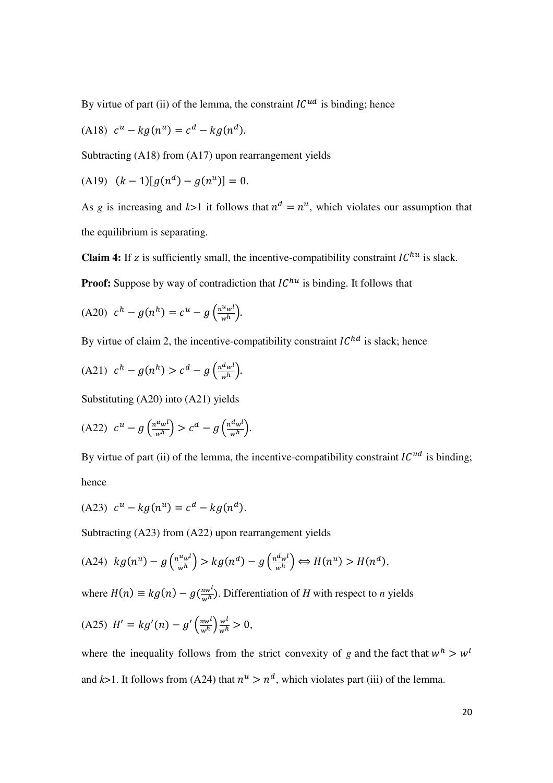By virtue of part (ii) of the lemma, the constraint  $IC^{ud}$  is binding; hence

(A18) 
$$
c^u - kg(n^u) = c^d - kg(n^d)
$$
.

Subtracting (A18) from (A17) upon rearrangement yields

$$
(A19) \quad (k-1)[g(n^d) - g(n^u)] = 0.
$$

As *g* is increasing and  $k>1$  it follows that  $n^d = n^u$ , which violates our assumption that the equilibrium is separating.

**Claim 4:** If z is sufficiently small, the incentive-compatibility constraint  $IC^{hu}$  is slack.

**Proof:** Suppose by way of contradiction that  $IC^{hu}$  is binding. It follows that

$$
(A20) \t ch - g(nh) = cu - g\left(\frac{nuwl}{wh}\right).
$$

By virtue of claim 2, the incentive-compatibility constraint  $IC^{hd}$  is slack; hence

(A21) 
$$
c^h - g(n^h) > c^d - g\left(\frac{n^d w^l}{w^h}\right)
$$
.

Substituting (A20) into (A21) yields

$$
(A22) \ c^u - g\left(\frac{n^u w^l}{w^h}\right) > c^d - g\left(\frac{n^d w^l}{w^h}\right).
$$

By virtue of part (ii) of the lemma, the incentive-compatibility constraint  $IC^{ud}$  is binding; hence

(A23) 
$$
c^u - kg(n^u) = c^d - kg(n^d)
$$
.

Subtracting (A23) from (A22) upon rearrangement yields

$$
(A24) \ kg(n^u) - g\left(\frac{n^u w^l}{w^h}\right) > kg(n^d) - g\left(\frac{n^d w^l}{w^h}\right) \Longleftrightarrow H(n^u) > H(n^d),
$$

where  $H(n) \equiv kg(n) - g(\frac{nw^{l}}{w^{h}})$ . Differentiation of *H* with respect to *n* yields

$$
(A25) \ H' = kg'(n) - g'\left(\frac{nw^l}{w^h}\right)\frac{w^l}{w^h} > 0,
$$

where the inequality follows from the strict convexity of *g* and the fact that  $w^h > w^l$ and  $k>1$ . It follows from (A24) that  $n^u > n^d$ , which violates part (iii) of the lemma.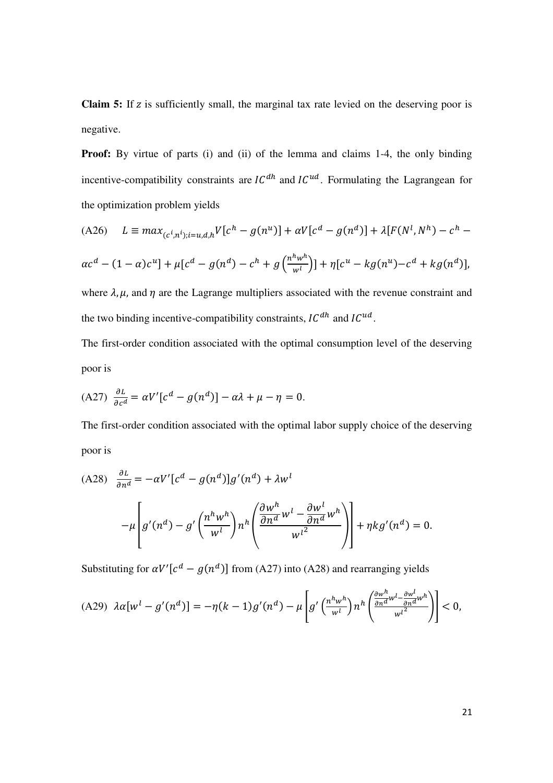**Claim 5:** If z is sufficiently small, the marginal tax rate levied on the deserving poor is negative.

**Proof:** By virtue of parts (i) and (ii) of the lemma and claims 1-4, the only binding incentive-compatibility constraints are  $IC^{dh}$  and  $IC^{ud}$ . Formulating the Lagrangean for the optimization problem yields

$$
(A26) \quad L \equiv \max_{(c^i, n^i); i=u,d,h} V[c^h - g(n^u)] + \alpha V[c^d - g(n^d)] + \lambda [F(N^l, N^h) - c^h - \alpha c^d - (1 - \alpha)c^u] + \mu [c^d - g(n^d) - c^h + g\left(\frac{n^h w^h}{w^l}\right)] + \eta [c^u - kg(n^u) - c^d + kg(n^d)],
$$

where  $\lambda$ ,  $\mu$ , and  $\eta$  are the Lagrange multipliers associated with the revenue constraint and the two binding incentive-compatibility constraints,  $IC^{dh}$  and  $IC^{ud}$ .

The first-order condition associated with the optimal consumption level of the deserving poor is

$$
(A27) \frac{\partial L}{\partial c^d} = \alpha V' [c^d - g(n^d)] - \alpha \lambda + \mu - \eta = 0.
$$

The first-order condition associated with the optimal labor supply choice of the deserving poor is

$$
(A28) \frac{\partial L}{\partial n^d} = -\alpha V' [c^d - g(n^d)]g'(n^d) + \lambda w^l
$$

$$
-\mu \left[ g'(n^d) - g'\left(\frac{n^h w^h}{w^l}\right) n^h \left(\frac{\partial w^h}{\partial n^d} w^l - \frac{\partial w^l}{\partial n^d} w^h\right) \right] + \eta k g'(n^d) = 0.
$$

Substituting for  $\alpha V'[c^d - g(n^d)]$  from (A27) into (A28) and rearranging yields

$$
(A29)\ \lambda\alpha[w^l-g'(n^d)]=-\eta(k-1)g'(n^d)-\mu\left[g'\left(\frac{n^h w^h}{w^l}\right)n^h\left(\frac{\frac{\partial w^h}{\partial n^d}w^l-\frac{\partial w^l}{\partial n^d}w^h}{w^{l^2}}\right)\right]<0,
$$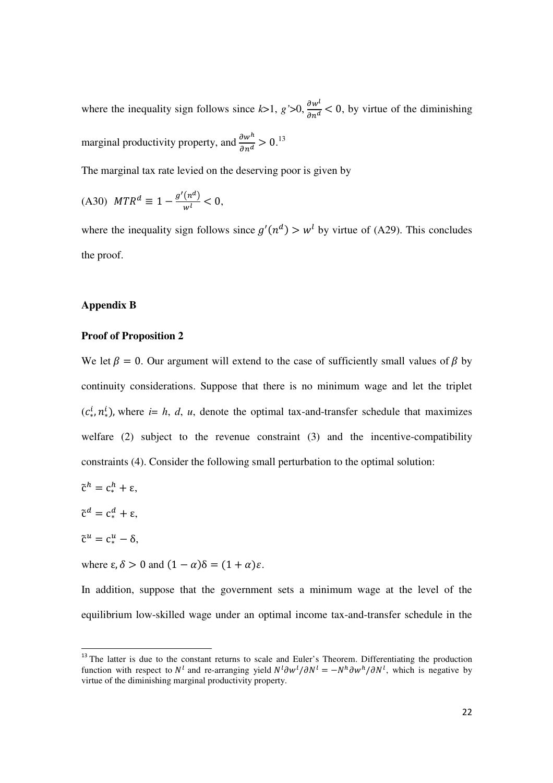where the inequality sign follows since  $k>1$ ,  $g' > 0$ ,  $\frac{\partial w'}{\partial n^d} < 0$ , by virtue of the diminishing marginal productivity property, and  $\frac{\partial w^h}{\partial n^d} > 0$ .<sup>13</sup>

The marginal tax rate levied on the deserving poor is given by

$$
(A30) \quad MTR^d \equiv 1 - \frac{g'(n^d)}{w^l} < 0,
$$

where the inequality sign follows since  $g'(n^d) > w^l$  by virtue of (A29). This concludes the proof.

#### **Appendix B**

#### **Proof of Proposition 2**

We let  $\beta = 0$ . Our argument will extend to the case of sufficiently small values of  $\beta$  by continuity considerations. Suppose that there is no minimum wage and let the triplet  $(c_{*}^{l}, n_{*}^{l})$ , where *i*= *h*, *d*, *u*, denote the optimal tax-and-transfer schedule that maximizes welfare (2) subject to the revenue constraint (3) and the incentive-compatibility constraints (4). Consider the following small perturbation to the optimal solution:

- $\tilde{c}^h = c_*^h + \varepsilon$ ,
- $\tilde{c}^d = c_*^d + \varepsilon,$
- $\tilde{\mathrm{c}}^u = \mathrm{c}^u_* \delta,$

 $\overline{a}$ 

where  $\varepsilon$ ,  $\delta > 0$  and  $(1 - \alpha)\delta = (1 + \alpha)\varepsilon$ .

In addition, suppose that the government sets a minimum wage at the level of the equilibrium low-skilled wage under an optimal income tax-and-transfer schedule in the

<sup>&</sup>lt;sup>13</sup> The latter is due to the constant returns to scale and Euler's Theorem. Differentiating the production function with respect to  $N^l$  and re-arranging yield  $N^l \partial W^l / \partial N^l = -N^h \partial W^h / \partial N^l$ , which is negative by virtue of the diminishing marginal productivity property.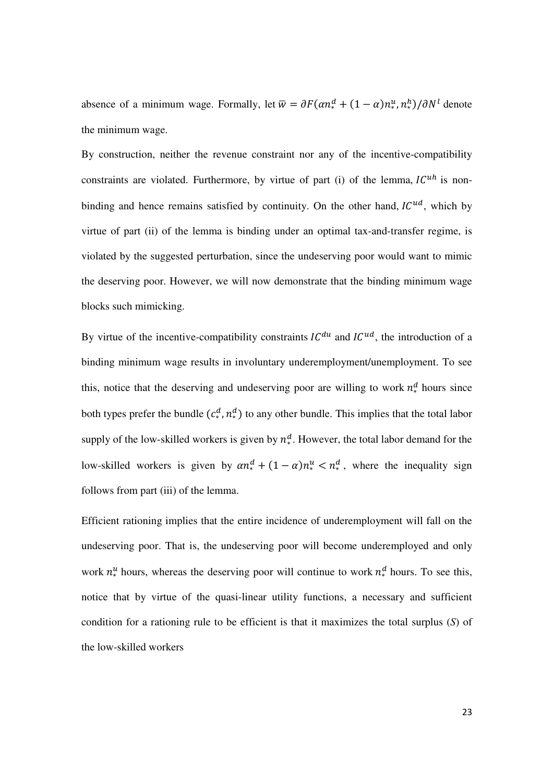absence of a minimum wage. Formally, let  $\overline{w} = \partial F(\alpha n_*^d + (1 - \alpha) n_*^u, n_*^h)/\partial N^l$  denote the minimum wage.

By construction, neither the revenue constraint nor any of the incentive-compatibility constraints are violated. Furthermore, by virtue of part (i) of the lemma,  $IC^{uh}$  is nonbinding and hence remains satisfied by continuity. On the other hand,  $IC^{ud}$ , which by virtue of part (ii) of the lemma is binding under an optimal tax-and-transfer regime, is violated by the suggested perturbation, since the undeserving poor would want to mimic the deserving poor. However, we will now demonstrate that the binding minimum wage blocks such mimicking.

By virtue of the incentive-compatibility constraints  $IC^{du}$  and  $IC^{ud}$ , the introduction of a binding minimum wage results in involuntary underemployment/unemployment. To see this, notice that the deserving and undeserving poor are willing to work  $n_*^d$  hours since both types prefer the bundle  $(c_*^d, n_*^d)$  to any other bundle. This implies that the total labor supply of the low-skilled workers is given by  $n_*^d$ . However, the total labor demand for the low-skilled workers is given by  $\alpha n_*^d + (1 - \alpha) n_*^u < n_*^d$ , where the inequality sign follows from part (iii) of the lemma.

Efficient rationing implies that the entire incidence of underemployment will fall on the undeserving poor. That is, the undeserving poor will become underemployed and only work  $n_*^u$  hours, whereas the deserving poor will continue to work  $n_*^d$  hours. To see this, notice that by virtue of the quasi-linear utility functions, a necessary and sufficient condition for a rationing rule to be efficient is that it maximizes the total surplus (*S*) of the low-skilled workers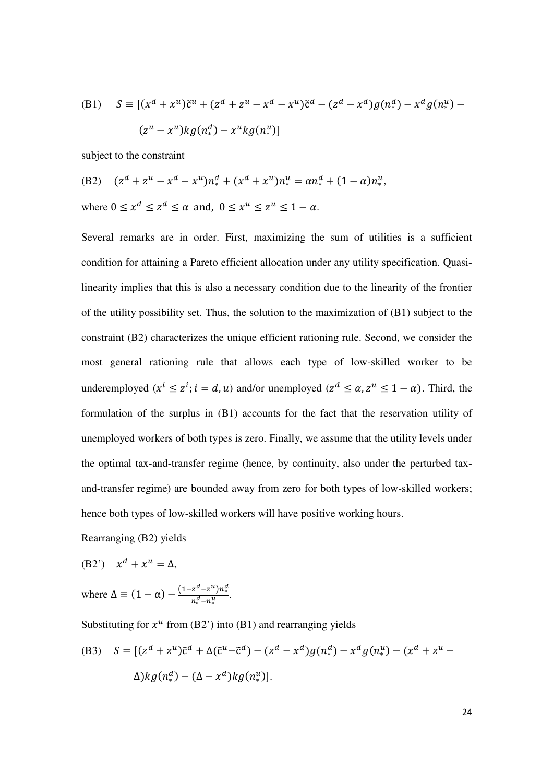(B1) 
$$
S = [(x^{d} + x^{u})\tilde{c}^{u} + (z^{d} + z^{u} - x^{d} - x^{u})\tilde{c}^{d} - (z^{d} - x^{d})g(n_{*}^{d}) - x^{d}g(n_{*}^{u}) - (z^{u} - x^{u})kg(n_{*}^{d}) - x^{u}kg(n_{*}^{u})]
$$

subject to the constraint

(B2) 
$$
(z^d + z^u - x^d - x^u)n_*^d + (x^d + x^u)n_*^u = \alpha n_*^d + (1 - \alpha)n_*^u
$$
,  
where  $0 \le x^d \le z^d \le \alpha$  and,  $0 \le x^u \le z^u \le 1 - \alpha$ .

Several remarks are in order. First, maximizing the sum of utilities is a sufficient condition for attaining a Pareto efficient allocation under any utility specification. Quasilinearity implies that this is also a necessary condition due to the linearity of the frontier of the utility possibility set. Thus, the solution to the maximization of  $(B1)$  subject to the constraint (B2) characterizes the unique efficient rationing rule. Second, we consider the most general rationing rule that allows each type of low-skilled worker to be underemployed  $(x^l \leq z^l; i = d, u)$  and/or unemployed  $(z^d \leq \alpha, z^u \leq 1 - \alpha)$ . Third, the formulation of the surplus in (B1) accounts for the fact that the reservation utility of unemployed workers of both types is zero. Finally, we assume that the utility levels under the optimal tax-and-transfer regime (hence, by continuity, also under the perturbed taxand-transfer regime) are bounded away from zero for both types of low-skilled workers; hence both types of low-skilled workers will have positive working hours.

Rearranging (B2) yields

$$
(B2') \quad x^d + x^u = \Delta,
$$

where 
$$
\Delta \equiv (1 - \alpha) - \frac{(1 - z^d - z^u)n_*^d}{n_*^d - n_*^u}.
$$

Substituting for  $x^u$  from (B2') into (B1) and rearranging yields

(B3) 
$$
S = [(z^{d} + z^{u})\tilde{c}^{d} + \Delta(\tilde{c}^{u} - \tilde{c}^{d}) - (z^{d} - x^{d})g(n_{*}^{d}) - x^{d}g(n_{*}^{u}) - (x^{d} + z^{u} - \Delta)kg(n_{*}^{d}) - (\Delta - x^{d})kg(n_{*}^{u})].
$$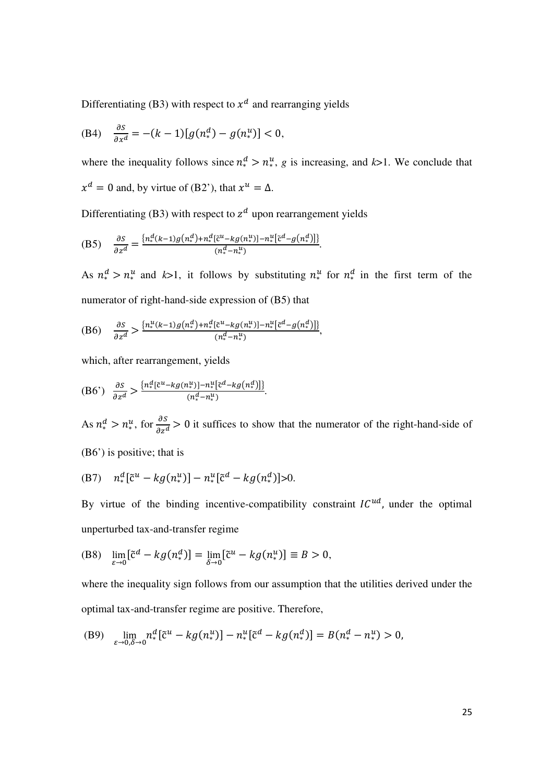Differentiating (B3) with respect to  $x^d$  and rearranging yields

(B4) 
$$
\frac{\partial S}{\partial x^d} = -(k-1)[g(n_*^d) - g(n_*^u)] < 0,
$$

where the inequality follows since  $n_*^d > n_*^u$ , g is increasing, and  $k > 1$ . We conclude that  $x^d = 0$  and, by virtue of (B2'), that  $x^u = \Delta$ .

Differentiating (B3) with respect to  $z^d$  upon rearrangement yields

(B5) 
$$
\frac{\partial S}{\partial z^d} = \frac{\{n_*^d(k-1)g(n_*^d) + n_*^d[\tilde{c}^u - kg(n_*^u)] - n_*^u[\tilde{c}^d - g(n_*^d)]\}}{(n_*^d - n_*^u)}.
$$

As  $n_*^d > n_*^u$  and  $k > 1$ , it follows by substituting  $n_*^u$  for  $n_*^d$  in the first term of the numerator of right-hand-side expression of (B5) that

(B6) 
$$
\frac{\partial S}{\partial z^d} > \frac{\left\{n_*^u(k-1)g\left(n_*^d\right)+n_*^d\left[\tilde{c}^u - kg\left(n_*^u\right)\right]-n_*^u\left[\tilde{c}^d - g\left(n_*^d\right)\right]\right\}}{\left(n_*^d - n_*^u\right)},
$$

which, after rearrangement, yields

$$
(B6') \quad \frac{\partial S}{\partial z^d} > \frac{\{n_*^d [\tilde{c}^u - kg(n_*^u)] - n_*^u [\tilde{c}^d - kg(n_*^d)]\}}{(n_*^d - n_*^u)}.
$$

As  $n_*^d > n_*^u$ , for  $\frac{\partial S}{\partial z^d} > 0$  it suffices to show that the numerator of the right-hand-side of (B6') is positive; that is

(B7) 
$$
n_*^d \left[\tilde{c}^u - k g(n_*^u)\right] - n_*^u \left[\tilde{c}^d - k g(n_*^d)\right] > 0.
$$

By virtue of the binding incentive-compatibility constraint  $IC^{ud}$ , under the optimal unperturbed tax-and-transfer regime

(B8) 
$$
\lim_{\varepsilon \to 0} [\tilde{c}^d - k g(n^d_*)] = \lim_{\delta \to 0} [\tilde{c}^u - k g(n^u_*)] \equiv B > 0,
$$

where the inequality sign follows from our assumption that the utilities derived under the optimal tax-and-transfer regime are positive. Therefore,

(B9) 
$$
\lim_{\varepsilon \to 0, \delta \to 0} n_*^d [\tilde{c}^u - k g(n_*^u)] - n_*^u [\tilde{c}^d - k g(n_*^d)] = B(n_*^d - n_*^u) > 0,
$$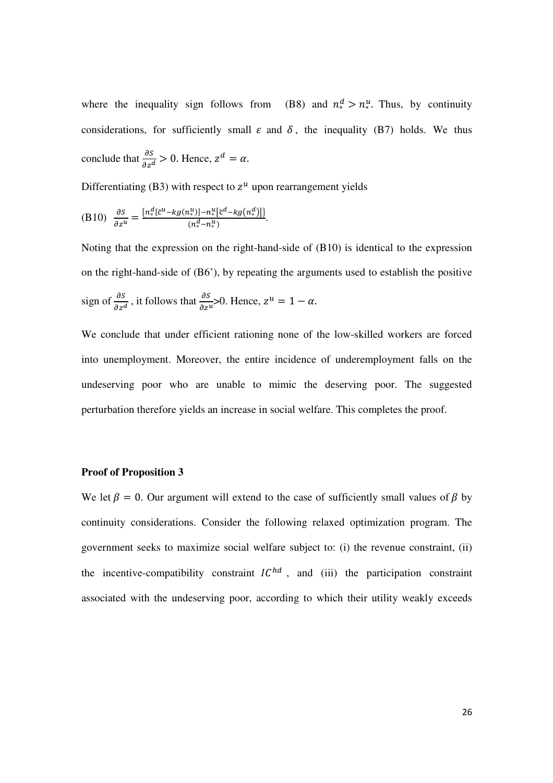where the inequality sign follows from (B8) and  $n_*^d > n_*^u$ . Thus, by continuity considerations, for sufficiently small  $\varepsilon$  and  $\delta$ , the inequality (B7) holds. We thus conclude that  $\frac{\partial S}{\partial z^d} > 0$ . Hence,  $z^d = \alpha$ .

Differentiating (B3) with respect to  $z^u$  upon rearrangement yields

(B10) 
$$
\frac{\partial S}{\partial z^u} = \frac{\{n_*^d [\tilde{c}^u - kg(n_*^u)] - n_*^u [\tilde{c}^d - kg(n_*^d)]\}}{(n_*^d - n_*^u)}.
$$

Noting that the expression on the right-hand-side of (B10) is identical to the expression on the right-hand-side of (B6'), by repeating the arguments used to establish the positive sign of  $\frac{\partial S}{\partial z^d}$ , it follows that  $\frac{\partial S}{\partial z^u}$ >0. Hence,  $z^u = 1 - \alpha$ .

We conclude that under efficient rationing none of the low-skilled workers are forced into unemployment. Moreover, the entire incidence of underemployment falls on the undeserving poor who are unable to mimic the deserving poor. The suggested perturbation therefore yields an increase in social welfare. This completes the proof.

#### **Proof of Proposition 3**

We let  $\beta = 0$ . Our argument will extend to the case of sufficiently small values of  $\beta$  by continuity considerations. Consider the following relaxed optimization program. The government seeks to maximize social welfare subject to: (i) the revenue constraint, (ii) the incentive-compatibility constraint  $IC^{hd}$ , and (iii) the participation constraint associated with the undeserving poor, according to which their utility weakly exceeds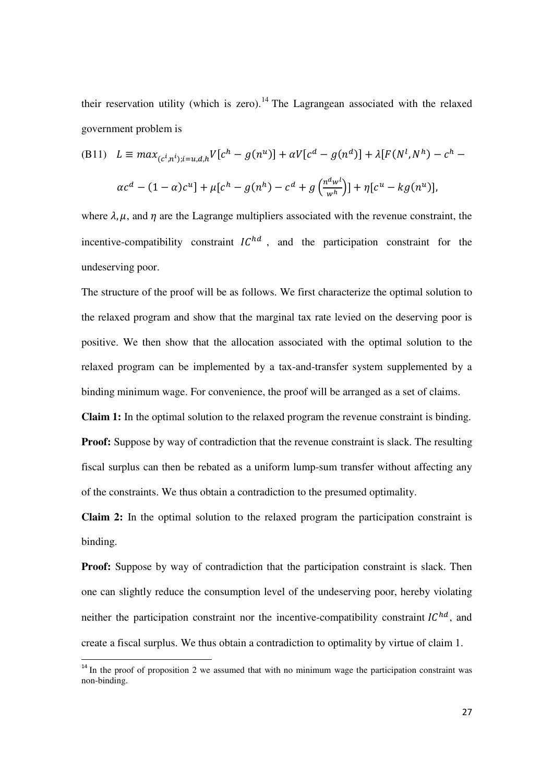their reservation utility (which is zero).<sup>14</sup> The Lagrangean associated with the relaxed government problem is

(B11) 
$$
L \equiv max_{(c^i, n^i); i=u,d,h} V[c^h - g(n^u)] + \alpha V[c^d - g(n^d)] + \lambda [F(N^l, N^h) - c^h - \alpha c^d - (1 - \alpha)c^u] + \mu [c^h - g(n^h) - c^d + g\left(\frac{n^d w^l}{w^h}\right)] + \eta [c^u - kg(n^u)],
$$

where  $\lambda$ ,  $\mu$ , and  $\eta$  are the Lagrange multipliers associated with the revenue constraint, the incentive-compatibility constraint  $IC^{hd}$ , and the participation constraint for the undeserving poor.

The structure of the proof will be as follows. We first characterize the optimal solution to the relaxed program and show that the marginal tax rate levied on the deserving poor is positive. We then show that the allocation associated with the optimal solution to the relaxed program can be implemented by a tax-and-transfer system supplemented by a binding minimum wage. For convenience, the proof will be arranged as a set of claims.

**Claim 1:** In the optimal solution to the relaxed program the revenue constraint is binding. **Proof:** Suppose by way of contradiction that the revenue constraint is slack. The resulting fiscal surplus can then be rebated as a uniform lump-sum transfer without affecting any of the constraints. We thus obtain a contradiction to the presumed optimality.

**Claim 2:** In the optimal solution to the relaxed program the participation constraint is binding.

**Proof:** Suppose by way of contradiction that the participation constraint is slack. Then one can slightly reduce the consumption level of the undeserving poor, hereby violating neither the participation constraint nor the incentive-compatibility constraint  $IC^{hd}$ , and create a fiscal surplus. We thus obtain a contradiction to optimality by virtue of claim 1.

 $\overline{a}$ 

 $14$  In the proof of proposition 2 we assumed that with no minimum wage the participation constraint was non-binding.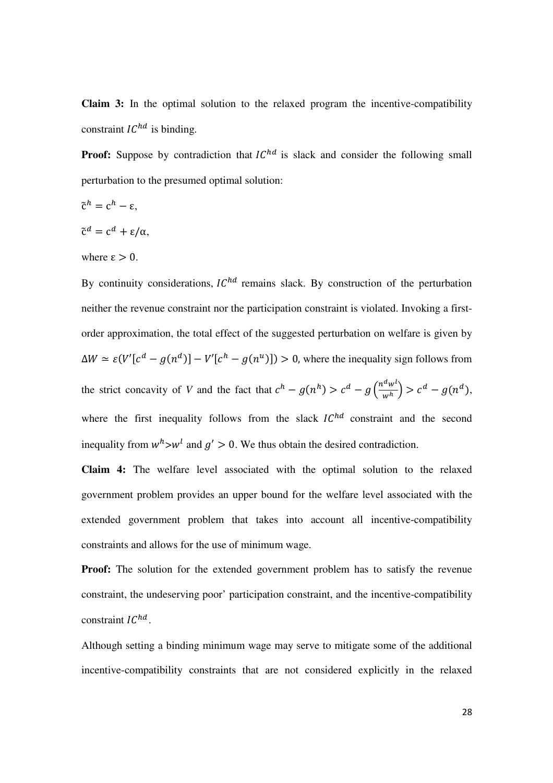**Claim 3:** In the optimal solution to the relaxed program the incentive-compatibility constraint  $IC^{hd}$  is binding.

**Proof:** Suppose by contradiction that  $IC^{hd}$  is slack and consider the following small perturbation to the presumed optimal solution:

$$
\tilde{\mathbf{c}}^h = \mathbf{c}^h - \mathbf{\varepsilon},
$$

$$
\tilde{\mathbf{c}}^d = \mathbf{c}^d + \varepsilon/\alpha,
$$

where  $\epsilon > 0$ .

By continuity considerations,  $IC^{hd}$  remains slack. By construction of the perturbation neither the revenue constraint nor the participation constraint is violated. Invoking a firstorder approximation, the total effect of the suggested perturbation on welfare is given by  $\Delta W \simeq \varepsilon (V'[c^d - g(n^d)] - V'[c^h - g(n^u)]) > 0$ , where the inequality sign follows from the strict concavity of *V* and the fact that  $c^h - g(n^h) > c^d - g\left(\frac{n^d w^h}{w^h}\right)$  $\left(\frac{w}{w^h}\right) > c^d - g(n^d),$ where the first inequality follows from the slack  $IC^{hd}$  constraint and the second inequality from  $w^h$ > $w^l$  and  $g' > 0$ . We thus obtain the desired contradiction.

**Claim 4:** The welfare level associated with the optimal solution to the relaxed government problem provides an upper bound for the welfare level associated with the extended government problem that takes into account all incentive-compatibility constraints and allows for the use of minimum wage.

**Proof:** The solution for the extended government problem has to satisfy the revenue constraint, the undeserving poor' participation constraint, and the incentive-compatibility constraint  $IC^{hd}$ .

Although setting a binding minimum wage may serve to mitigate some of the additional incentive-compatibility constraints that are not considered explicitly in the relaxed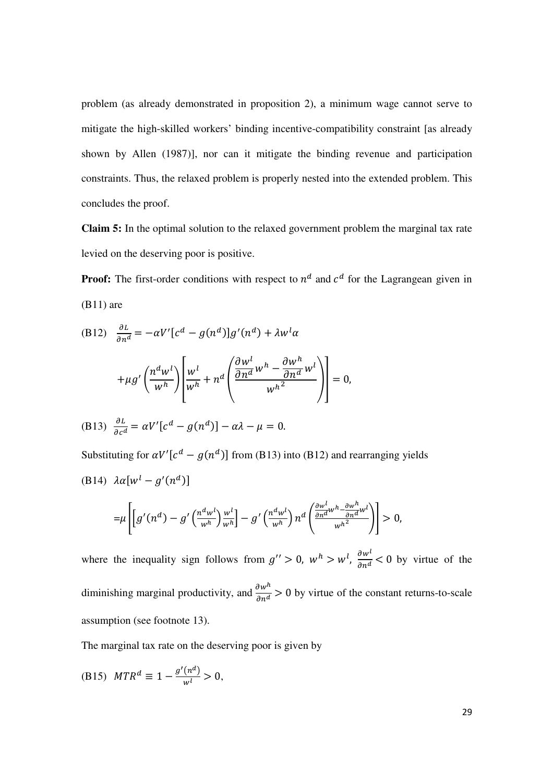problem (as already demonstrated in proposition 2), a minimum wage cannot serve to mitigate the high-skilled workers' binding incentive-compatibility constraint [as already shown by Allen (1987)], nor can it mitigate the binding revenue and participation constraints. Thus, the relaxed problem is properly nested into the extended problem. This concludes the proof.

**Claim 5:** In the optimal solution to the relaxed government problem the marginal tax rate levied on the deserving poor is positive.

**Proof:** The first-order conditions with respect to  $n^d$  and  $c^d$  for the Lagrangean given in  $(B11)$  are

(B12) 
$$
\frac{\partial L}{\partial n^d} = -\alpha V' [c^d - g(n^d)] g'(n^d) + \lambda w^l \alpha
$$

$$
+ \mu g' \left(\frac{n^d w^l}{w^h}\right) \left[\frac{w^l}{w^h} + n^d \left(\frac{\frac{\partial w^l}{\partial n^d} w^h - \frac{\partial w^h}{\partial n^d} w^l}{w^{h^2}}\right)\right] = 0,
$$
  
(B13) 
$$
\frac{\partial L}{\partial c^d} = \alpha V' [c^d - g(n^d)] - \alpha \lambda - \mu = 0.
$$

Substituting for  $\alpha V'[c^d - g(n^d)]$  from (B13) into (B12) and rearranging yields (B14)  $\lambda \alpha [w^l - g'(n^d)]$  $\mathbf{r}$  $\frac{\partial w^l}{\partial u^h}$   $\frac{\partial w^h}{\partial u^h}$ 

$$
=\mu\left[\left[g'(n^d)-g'\left(\frac{n^dw^l}{w^h}\right)\frac{w^l}{w^h}\right]-g'\left(\frac{n^dw^l}{w^h}\right)n^d\left(\frac{\frac{\partial w^v}{\partial n^d}w^h-\frac{\partial w^v}{\partial n^d}w^l}{w^h^2}\right)\right]>0,
$$

where the inequality sign follows from  $g'' > 0$ ,  $w^h > w^l$ ,  $\frac{\partial w^l}{\partial n^d} < 0$  by virtue of the diminishing marginal productivity, and  $\frac{\partial w^h}{\partial n^d} > 0$  by virtue of the constant returns-to-scale assumption (see footnote 13).

The marginal tax rate on the deserving poor is given by

(B15) 
$$
MTR^d \equiv 1 - \frac{g'(n^d)}{w^l} > 0,
$$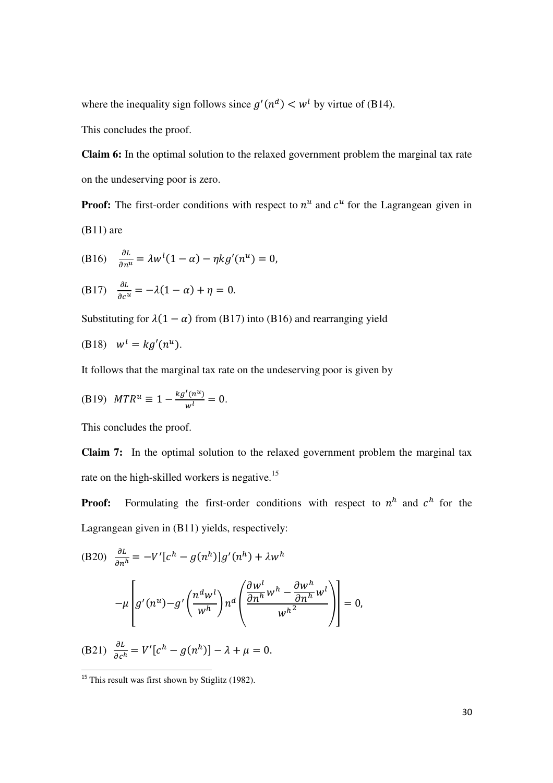where the inequality sign follows since  $g'(n^d) < w^l$  by virtue of (B14).

This concludes the proof.

**Claim 6:** In the optimal solution to the relaxed government problem the marginal tax rate on the undeserving poor is zero.

**Proof:** The first-order conditions with respect to  $n^u$  and  $c^u$  for the Lagrangean given in  $(B11)$  are

(B16) 
$$
\frac{\partial L}{\partial n^u} = \lambda w^l (1 - \alpha) - \eta k g'(n^u) = 0,
$$

(B17) 
$$
\frac{\partial L}{\partial c^u} = -\lambda(1-\alpha) + \eta = 0.
$$

Substituting for  $\lambda(1 - \alpha)$  from (B17) into (B16) and rearranging yield

$$
(B18) \quad w^l = kg'(n^u).
$$

It follows that the marginal tax rate on the undeserving poor is given by

(B19) 
$$
MTR^u \equiv 1 - \frac{kg'(n^u)}{w^l} = 0.
$$

This concludes the proof.

**Claim 7:** In the optimal solution to the relaxed government problem the marginal tax rate on the high-skilled workers is negative.<sup>15</sup>

**Proof:** Formulating the first-order conditions with respect to  $n^h$  and  $c^h$  for the Lagrangean given in (B11) yields, respectively:

(B20) 
$$
\frac{\partial L}{\partial n^h} = -V'[c^h - g(n^h)]g'(n^h) + \lambda w^h
$$

$$
-\mu \left[ g'(n^u) - g'\left(\frac{n^d w^l}{w^h}\right) n^d \left(\frac{\frac{\partial w^l}{\partial n^h} w^h - \frac{\partial w^h}{\partial n^h} w^l}{w^h^2}\right) \right] = 0,
$$
  
(B21) 
$$
\frac{\partial L}{\partial c^h} = V'[c^h - g(n^h)] - \lambda + \mu = 0.
$$

 $\overline{a}$ 

<sup>&</sup>lt;sup>15</sup> This result was first shown by Stiglitz (1982).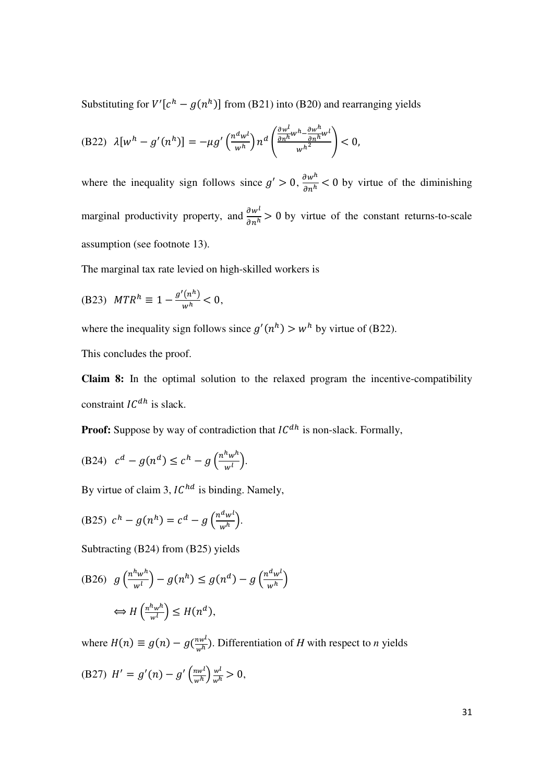Substituting for  $V'[c^h - g(n^h)]$  from (B21) into (B20) and rearranging yields

(B22) 
$$
\lambda [w^h - g'(n^h)] = -\mu g' \left(\frac{n^d w^l}{w^h}\right) n^d \left(\frac{\frac{\partial w^l}{\partial n^h} w^h - \frac{\partial w^h}{\partial n^h} w^l}{w^h}\right) < 0,
$$

where the inequality sign follows since  $g' > 0$ ,  $\frac{\partial w^n}{\partial n^n} < 0$  by virtue of the diminishing marginal productivity property, and  $\frac{\partial w^l}{\partial n^h} > 0$  by virtue of the constant returns-to-scale assumption (see footnote 13).

The marginal tax rate levied on high-skilled workers is

(B23) 
$$
MTR^{h} \equiv 1 - \frac{g'(n^{h})}{w^{h}} < 0,
$$

where the inequality sign follows since  $g'(n^h) > w^h$  by virtue of (B22).

This concludes the proof.

**Claim 8:** In the optimal solution to the relaxed program the incentive-compatibility constraint  $IC^{dh}$  is slack.

**Proof:** Suppose by way of contradiction that  $IC^{dh}$  is non-slack. Formally,

(B24) 
$$
c^d - g(n^d) \leq c^h - g\left(\frac{n^h w^h}{w^l}\right).
$$

By virtue of claim 3,  $IC^{hd}$  is binding. Namely,

$$
(B25) \ c^h - g(n^h) = c^d - g\left(\frac{n^d w^l}{w^h}\right).
$$

Subtracting (B24) from (B25) yields

(B26) 
$$
g\left(\frac{n^h w^h}{w^l}\right) - g(n^h) \le g(n^d) - g\left(\frac{n^d w^l}{w^h}\right)
$$
  
 $\Leftrightarrow H\left(\frac{n^h w^h}{w^l}\right) \le H(n^d),$ 

where  $H(n) \equiv g(n) - g(\frac{nw^l}{w^h})$ . Differentiation of *H* with respect to *n* yields

(B27) 
$$
H' = g'(n) - g'\left(\frac{n w^l}{w^h}\right) \frac{w^l}{w^h} > 0,
$$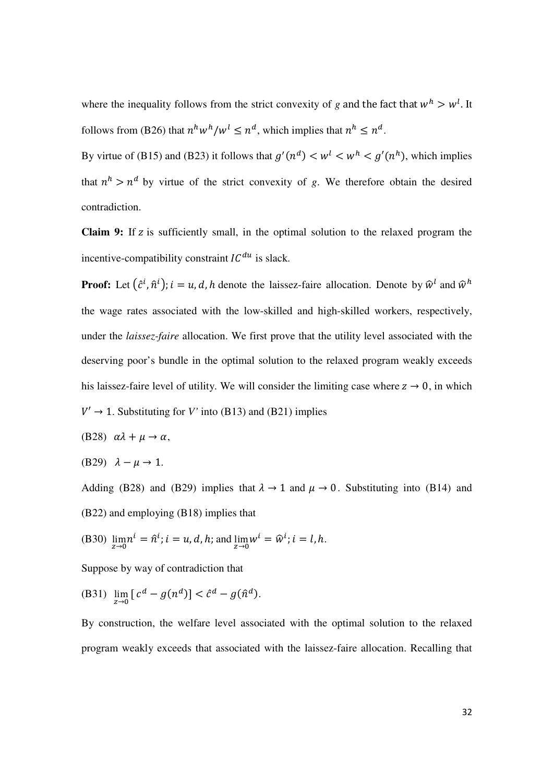where the inequality follows from the strict convexity of *g* and the fact that  $w<sup>h</sup> > w<sup>l</sup>$ . It follows from (B26) that  $n^h w^h/w^l \leq n^d$ , which implies that  $n^h \leq n^d$ .

By virtue of (B15) and (B23) it follows that  $g'(n^d) < w^l < w^h < g'(n^h)$ , which implies that  $n^h > n^d$  by virtue of the strict convexity of *g*. We therefore obtain the desired contradiction.

**Claim 9:** If z is sufficiently small, in the optimal solution to the relaxed program the incentive-compatibility constraint  $IC^{du}$  is slack.

**Proof:** Let  $(\hat{c}^i, \hat{n}^i)$ ;  $i = u, d, h$  denote the laissez-faire allocation. Denote by  $\hat{w}^i$  and  $\hat{w}^h$ the wage rates associated with the low-skilled and high-skilled workers, respectively, under the *laissez-faire* allocation. We first prove that the utility level associated with the deserving poor's bundle in the optimal solution to the relaxed program weakly exceeds his laissez-faire level of utility. We will consider the limiting case where  $z \to 0$ , in which  $V' \rightarrow 1$ . Substituting for *V'* into (B13) and (B21) implies

- (B28)  $\alpha \lambda + \mu \rightarrow \alpha$ ,
- (B29)  $\lambda \mu \rightarrow 1$ .

Adding (B28) and (B29) implies that  $\lambda \to 1$  and  $\mu \to 0$ . Substituting into (B14) and (B22) and employing (B18) implies that

(B30) 
$$
\lim_{z \to 0} n^i = \hat{n}^i
$$
;  $i = u, d, h$ ; and  $\lim_{z \to 0} w^i = \hat{w}^i$ ;  $i = l, h$ .

Suppose by way of contradiction that

(B31) 
$$
\lim_{z \to 0} [c^d - g(n^d)] < \hat{c}^d - g(\hat{n}^d)
$$
.

By construction, the welfare level associated with the optimal solution to the relaxed program weakly exceeds that associated with the laissez-faire allocation. Recalling that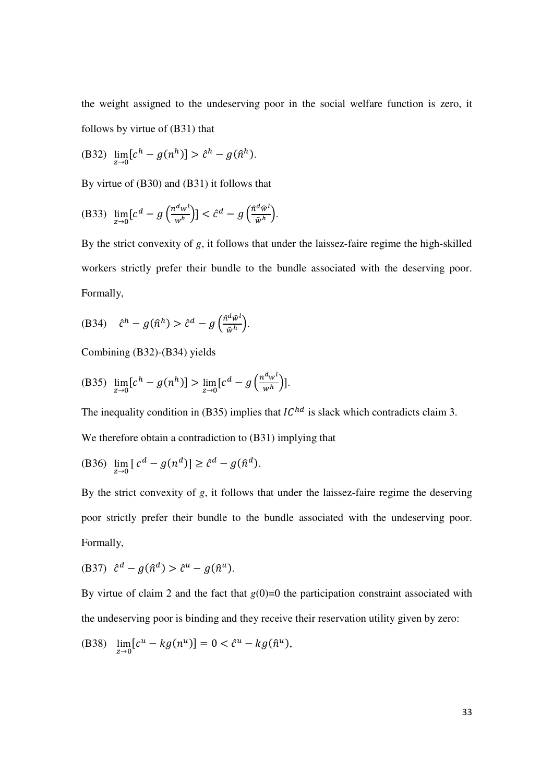the weight assigned to the undeserving poor in the social welfare function is zero, it follows by virtue of (B31) that

(B32) 
$$
\lim_{z \to 0} [c^h - g(n^h)] > \hat{c}^h - g(\hat{n}^h).
$$

By virtue of (B30) and (B31) it follows that

(B33) 
$$
\lim_{z \to 0} [c^d - g\left(\frac{n^d w^l}{w^h}\right)] < \hat{c}^d - g\left(\frac{\hat{n}^d \hat{w}^l}{\hat{w}^h}\right).
$$

By the strict convexity of *g*, it follows that under the laissez-faire regime the high-skilled workers strictly prefer their bundle to the bundle associated with the deserving poor. Formally,

(B34) 
$$
\hat{c}^h - g(\hat{n}^h) > \hat{c}^d - g\left(\frac{\hat{n}^d\hat{\omega}^l}{\hat{w}^h}\right).
$$

Combining 
$$
(B32)-(B34)
$$
 yields

(B35) 
$$
\lim_{z \to 0} [c^h - g(n^h)] > \lim_{z \to 0} [c^d - g\left(\frac{n^d w^l}{w^h}\right)].
$$

The inequality condition in (B35) implies that  $IC^{hd}$  is slack which contradicts claim 3.

We therefore obtain a contradiction to (B31) implying that

(B36) 
$$
\lim_{z \to 0} \left[ c^d - g(n^d) \right] \ge \hat{c}^d - g(\hat{n}^d).
$$

By the strict convexity of *g*, it follows that under the laissez-faire regime the deserving poor strictly prefer their bundle to the bundle associated with the undeserving poor. Formally,

$$
(B37) \quad \hat{c}^d - g(\hat{n}^d) > \hat{c}^u - g(\hat{n}^u).
$$

By virtue of claim 2 and the fact that  $g(0)=0$  the participation constraint associated with the undeserving poor is binding and they receive their reservation utility given by zero:

(B38) 
$$
\lim_{z \to 0} [c^u - kg(n^u)] = 0 < \hat{c}^u - kg(\hat{n}^u),
$$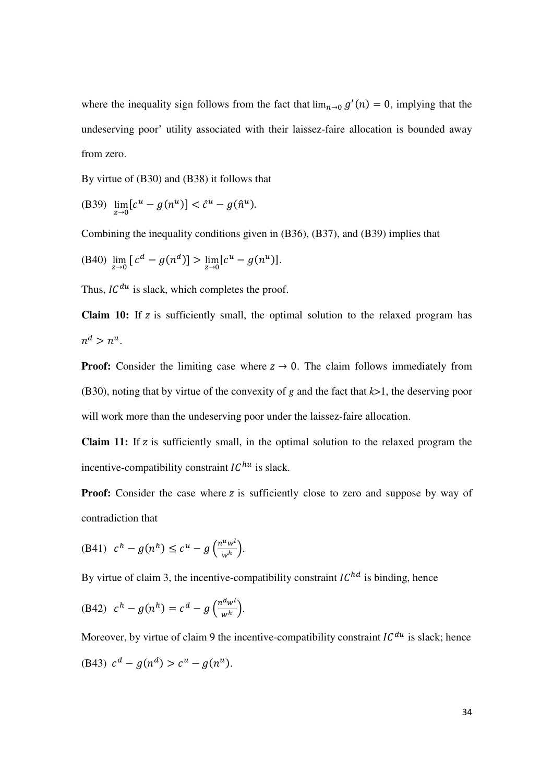where the inequality sign follows from the fact that  $\lim_{n\to 0} g'(n) = 0$ , implying that the undeserving poor' utility associated with their laissez-faire allocation is bounded away from zero.

By virtue of (B30) and (B38) it follows that

(B39) 
$$
\lim_{z \to 0} [c^u - g(n^u)] < \hat{c}^u - g(\hat{n}^u).
$$

Combining the inequality conditions given in (B36), (B37), and (B39) implies that

(B40) 
$$
\lim_{z \to 0} [c^d - g(n^d)] > \lim_{z \to 0} [c^u - g(n^u)].
$$

Thus,  $IC^{du}$  is slack, which completes the proof.

**Claim 10:** If z is sufficiently small, the optimal solution to the relaxed program has  $n^d > n^u$ .

**Proof:** Consider the limiting case where  $z \rightarrow 0$ . The claim follows immediately from (B30), noting that by virtue of the convexity of *g* and the fact that *k*>1, the deserving poor will work more than the undeserving poor under the laissez-faire allocation.

**Claim 11:** If z is sufficiently small, in the optimal solution to the relaxed program the incentive-compatibility constraint  $IC^{hu}$  is slack.

**Proof:** Consider the case where z is sufficiently close to zero and suppose by way of contradiction that

(B41) 
$$
c^h - g(n^h) \leq c^u - g\left(\frac{n^u w^l}{w^h}\right).
$$

By virtue of claim 3, the incentive-compatibility constraint  $IC^{hd}$  is binding, hence

(B42) 
$$
c^h - g(n^h) = c^d - g\left(\frac{n^d w^l}{w^h}\right).
$$

Moreover, by virtue of claim 9 the incentive-compatibility constraint  $IC^{du}$  is slack; hence (B43)  $c^d - g(n^d) > c^u - g(n^u)$ .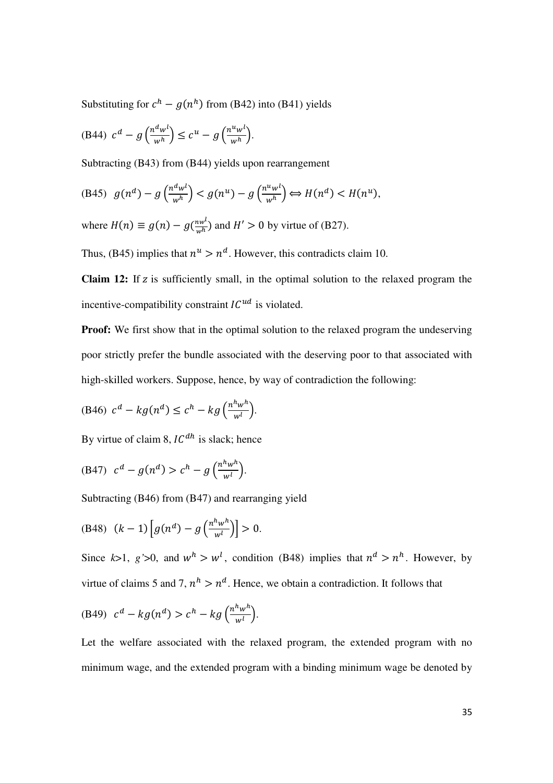Substituting for  $c^h - g(n^h)$  from (B42) into (B41) yields

(B44) 
$$
c^d - g\left(\frac{n^dw^l}{w^h}\right) \leq c^u - g\left(\frac{n^uw^l}{w^h}\right).
$$

Subtracting (B43) from (B44) yields upon rearrangement

(B45) 
$$
g(n^d) - g\left(\frac{n^d w^l}{w^h}\right) < g(n^u) - g\left(\frac{n^u w^l}{w^h}\right) \Leftrightarrow H(n^d) < H(n^u),
$$

where  $H(n) \equiv g(n) - g(\frac{nw^l}{w^h})$  and  $H' > 0$  by virtue of (B27).

Thus, (B45) implies that  $n^u > n^d$ . However, this contradicts claim 10.

**Claim 12:** If z is sufficiently small, in the optimal solution to the relaxed program the incentive-compatibility constraint  $IC^{ud}$  is violated.

**Proof:** We first show that in the optimal solution to the relaxed program the undeserving poor strictly prefer the bundle associated with the deserving poor to that associated with high-skilled workers. Suppose, hence, by way of contradiction the following:

$$
(B46) \ c^d - kg(n^d) \le c^h - kg\left(\frac{n^h w^h}{w^l}\right).
$$

By virtue of claim 8,  $IC^{dh}$  is slack; hence

(B47) 
$$
c^d - g(n^d) > c^h - g\left(\frac{n^h w^h}{w^l}\right)
$$
.

Subtracting (B46) from (B47) and rearranging yield

(B48) 
$$
(k-1)\left[g(n^d) - g\left(\frac{n^h w^h}{w^l}\right)\right] > 0.
$$

Since  $k>1$ ,  $g' > 0$ , and  $w<sup>h</sup> > w<sup>l</sup>$ , condition (B48) implies that  $n<sup>d</sup> > n<sup>h</sup>$ . However, by virtue of claims 5 and 7,  $n^h > n^d$ . Hence, we obtain a contradiction. It follows that

(B49) 
$$
c^d - k g(n^d) > c^h - k g\left(\frac{n^h w^h}{w^l}\right).
$$

Let the welfare associated with the relaxed program, the extended program with no minimum wage, and the extended program with a binding minimum wage be denoted by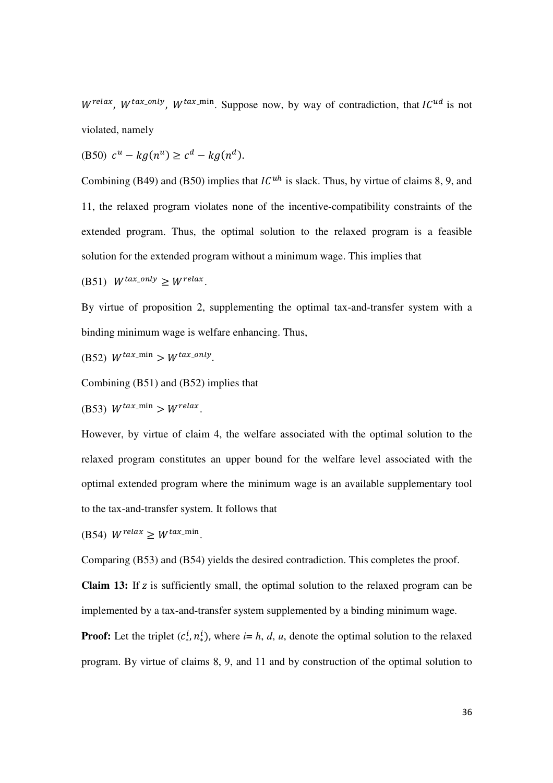$W^{relax}$ ,  $W^{tax\_only}$ ,  $W^{tax\_min}$ . Suppose now, by way of contradiction, that  $IC^{ud}$  is not violated, namely

(B50)  $c^u - k g(n^u) \ge c^d - k g(n^d)$ .

Combining (B49) and (B50) implies that  $IC<sup>uh</sup>$  is slack. Thus, by virtue of claims 8, 9, and 11, the relaxed program violates none of the incentive-compatibility constraints of the extended program. Thus, the optimal solution to the relaxed program is a feasible solution for the extended program without a minimum wage. This implies that

(B51)  $W^{tax\_only} \geq W^{relax}.$ 

By virtue of proposition 2, supplementing the optimal tax-and-transfer system with a binding minimum wage is welfare enhancing. Thus,

$$
(B52) W^{tax\_min} > W^{tax\_only}.
$$

Combining (B51) and (B52) implies that

(B53)  $W^{tax\_min} > W^{relax}.$ 

However, by virtue of claim 4, the welfare associated with the optimal solution to the relaxed program constitutes an upper bound for the welfare level associated with the optimal extended program where the minimum wage is an available supplementary tool to the tax-and-transfer system. It follows that

(B54)  $W^{relax} \geq W^{tax\_min}$ .

Comparing (B53) and (B54) yields the desired contradiction. This completes the proof.

**Claim 13:** If z is sufficiently small, the optimal solution to the relaxed program can be implemented by a tax-and-transfer system supplemented by a binding minimum wage.

**Proof:** Let the triplet  $(c_*^l, n_*^l)$ , where *i*= *h*, *d*, *u*, denote the optimal solution to the relaxed program. By virtue of claims 8, 9, and 11 and by construction of the optimal solution to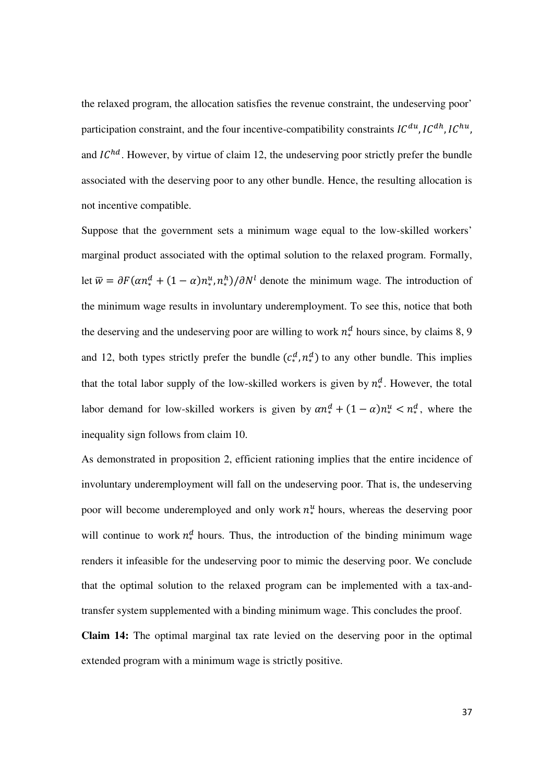the relaxed program, the allocation satisfies the revenue constraint, the undeserving poor' participation constraint, and the four incentive-compatibility constraints  $IC^{du}$ ,  $IC^{dh}$ ,  $IC^{hu}$ , and  $IC^{hd}$ . However, by virtue of claim 12, the undeserving poor strictly prefer the bundle associated with the deserving poor to any other bundle. Hence, the resulting allocation is not incentive compatible.

Suppose that the government sets a minimum wage equal to the low-skilled workers' marginal product associated with the optimal solution to the relaxed program. Formally, let  $\overline{w} = \partial F(\alpha n^d_* + (1 - \alpha) n^u_*, n^h_*) / \partial N^l$  denote the minimum wage. The introduction of the minimum wage results in involuntary underemployment. To see this, notice that both the deserving and the undeserving poor are willing to work  $n_*^d$  hours since, by claims 8, 9 and 12, both types strictly prefer the bundle  $(c_*^d, n_*^d)$  to any other bundle. This implies that the total labor supply of the low-skilled workers is given by  $n_*^d$ . However, the total labor demand for low-skilled workers is given by  $\alpha n_*^d + (1 - \alpha) n_*^u < n_*^d$ , where the inequality sign follows from claim 10.

As demonstrated in proposition 2, efficient rationing implies that the entire incidence of involuntary underemployment will fall on the undeserving poor. That is, the undeserving poor will become underemployed and only work  $n^u_*$  hours, whereas the deserving poor will continue to work  $n_*^d$  hours. Thus, the introduction of the binding minimum wage renders it infeasible for the undeserving poor to mimic the deserving poor. We conclude that the optimal solution to the relaxed program can be implemented with a tax-andtransfer system supplemented with a binding minimum wage. This concludes the proof.

**Claim 14:** The optimal marginal tax rate levied on the deserving poor in the optimal extended program with a minimum wage is strictly positive.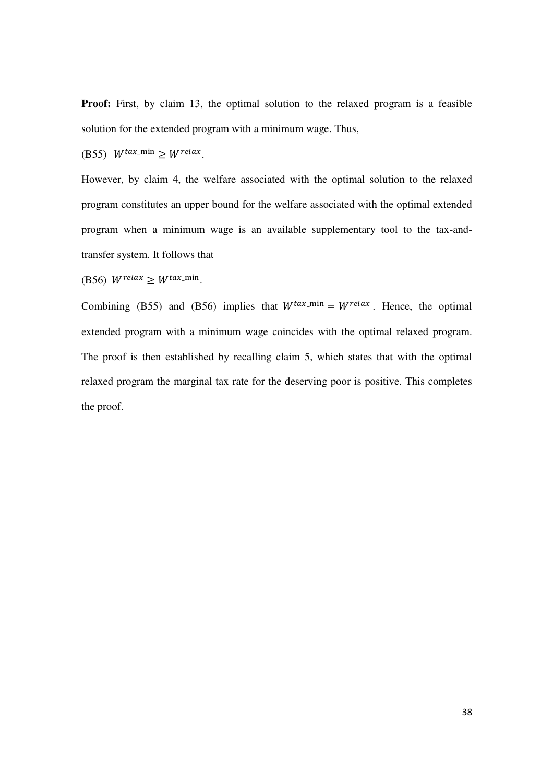**Proof:** First, by claim 13, the optimal solution to the relaxed program is a feasible solution for the extended program with a minimum wage. Thus,

(B55)  $W^{tax\_min} \geq W^{relax}.$ 

However, by claim 4, the welfare associated with the optimal solution to the relaxed program constitutes an upper bound for the welfare associated with the optimal extended program when a minimum wage is an available supplementary tool to the tax-andtransfer system. It follows that

(B56)  $W^{relax} \geq W^{tax\_min}$ .

Combining (B55) and (B56) implies that  $W^{tax\_min} = W^{relax}$ . Hence, the optimal extended program with a minimum wage coincides with the optimal relaxed program. The proof is then established by recalling claim 5, which states that with the optimal relaxed program the marginal tax rate for the deserving poor is positive. This completes the proof.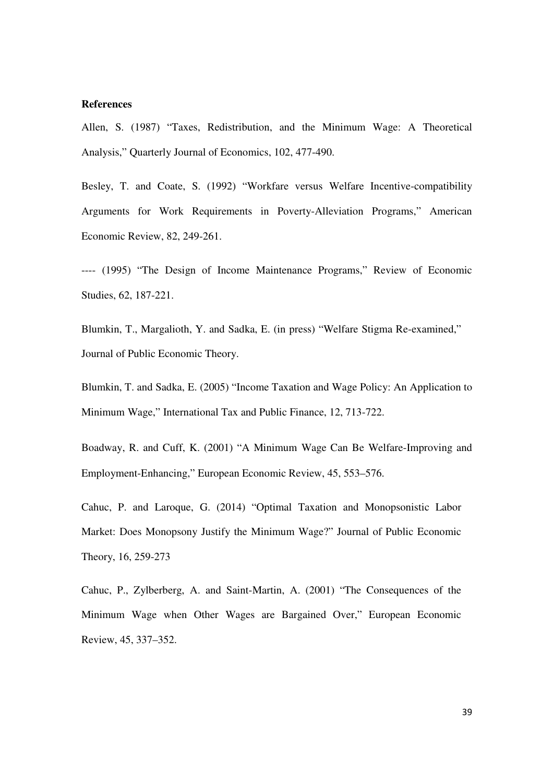#### **References**

Allen, S. (1987) "Taxes, Redistribution, and the Minimum Wage: A Theoretical Analysis," Quarterly Journal of Economics, 102, 477-490.

Besley, T. and Coate, S. (1992) "Workfare versus Welfare Incentive-compatibility Arguments for Work Requirements in Poverty-Alleviation Programs," American Economic Review, 82, 249-261.

---- (1995) "The Design of Income Maintenance Programs," Review of Economic Studies, 62, 187-221.

Blumkin, T., Margalioth, Y. and Sadka, E. (in press) "Welfare Stigma Re-examined," Journal of Public Economic Theory.

Blumkin, T. and Sadka, E. (2005) "Income Taxation and Wage Policy: An Application to Minimum Wage," International Tax and Public Finance, 12, 713-722.

Boadway, R. and Cuff, K. (2001) "A Minimum Wage Can Be Welfare-Improving and Employment-Enhancing," European Economic Review, 45, 553–576.

Cahuc, P. and Laroque, G. (2014) "Optimal Taxation and Monopsonistic Labor Market: Does Monopsony Justify the Minimum Wage?" Journal of Public Economic Theory, 16, 259-273

Cahuc, P., Zylberberg, A. and Saint-Martin, A. (2001) "The Consequences of the Minimum Wage when Other Wages are Bargained Over," European Economic Review, 45, 337–352.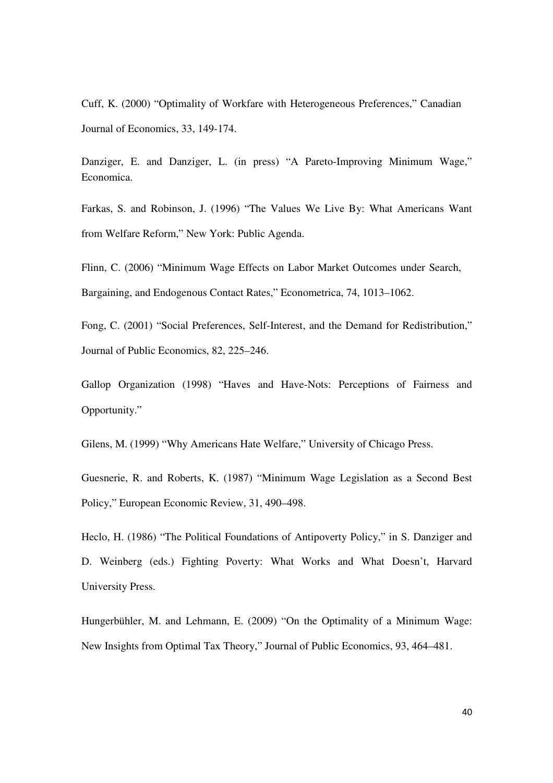Cuff, K. (2000) "Optimality of Workfare with Heterogeneous Preferences," Canadian Journal of Economics, 33, 149-174.

Danziger, E. and Danziger, L. (in press) "A Pareto-Improving Minimum Wage," Economica.

Farkas, S. and Robinson, J. (1996) "The Values We Live By: What Americans Want from Welfare Reform," New York: Public Agenda.

Flinn, C. (2006) "Minimum Wage Effects on Labor Market Outcomes under Search, Bargaining, and Endogenous Contact Rates," Econometrica, 74, 1013–1062.

Fong, C. (2001) "Social Preferences, Self-Interest, and the Demand for Redistribution," Journal of Public Economics, 82, 225–246.

Gallop Organization (1998) "Haves and Have-Nots: Perceptions of Fairness and Opportunity."

Gilens, M. (1999) "Why Americans Hate Welfare," University of Chicago Press.

Guesnerie, R. and Roberts, K. (1987) "Minimum Wage Legislation as a Second Best Policy," European Economic Review, 31, 490–498.

Heclo, H. (1986) "The Political Foundations of Antipoverty Policy," in S. Danziger and D. Weinberg (eds.) Fighting Poverty: What Works and What Doesn't, Harvard University Press.

Hungerbühler, M. and Lehmann, E. (2009) "On the Optimality of a Minimum Wage: New Insights from Optimal Tax Theory," Journal of Public Economics, 93, 464–481.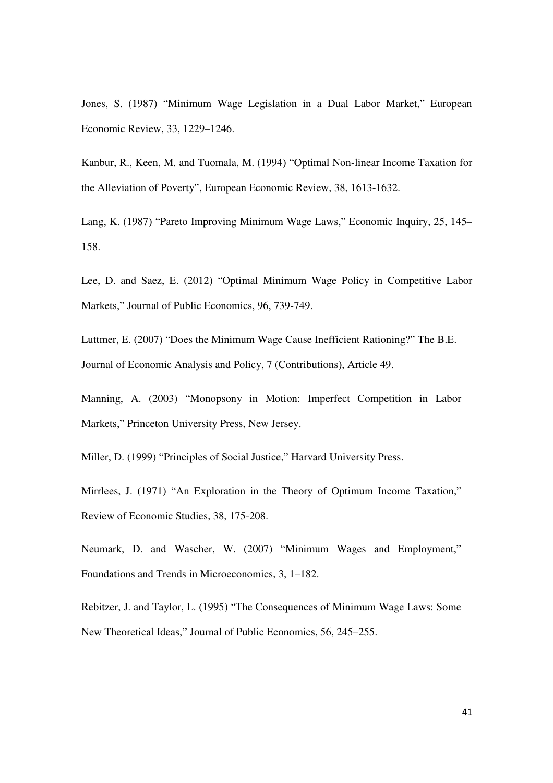Jones, S. (1987) "Minimum Wage Legislation in a Dual Labor Market," European Economic Review, 33, 1229–1246.

Kanbur, R., Keen, M. and Tuomala, M. (1994) "Optimal Non-linear Income Taxation for the Alleviation of Poverty", European Economic Review, 38, 1613-1632.

Lang, K. (1987) "Pareto Improving Minimum Wage Laws," Economic Inquiry, 25, 145– 158.

Lee, D. and Saez, E. (2012) "Optimal Minimum Wage Policy in Competitive Labor Markets," Journal of Public Economics, 96, 739-749.

Luttmer, E. (2007) "Does the Minimum Wage Cause Inefficient Rationing?" The B.E. Journal of Economic Analysis and Policy, 7 (Contributions), Article 49.

Manning, A. (2003) "Monopsony in Motion: Imperfect Competition in Labor Markets," Princeton University Press, New Jersey.

Miller, D. (1999) "Principles of Social Justice," Harvard University Press.

Mirrlees, J. (1971) "An Exploration in the Theory of Optimum Income Taxation," Review of Economic Studies, 38, 175-208.

Neumark, D. and Wascher, W. (2007) "Minimum Wages and Employment," Foundations and Trends in Microeconomics, 3, 1–182.

Rebitzer, J. and Taylor, L. (1995) "The Consequences of Minimum Wage Laws: Some New Theoretical Ideas," Journal of Public Economics, 56, 245–255.